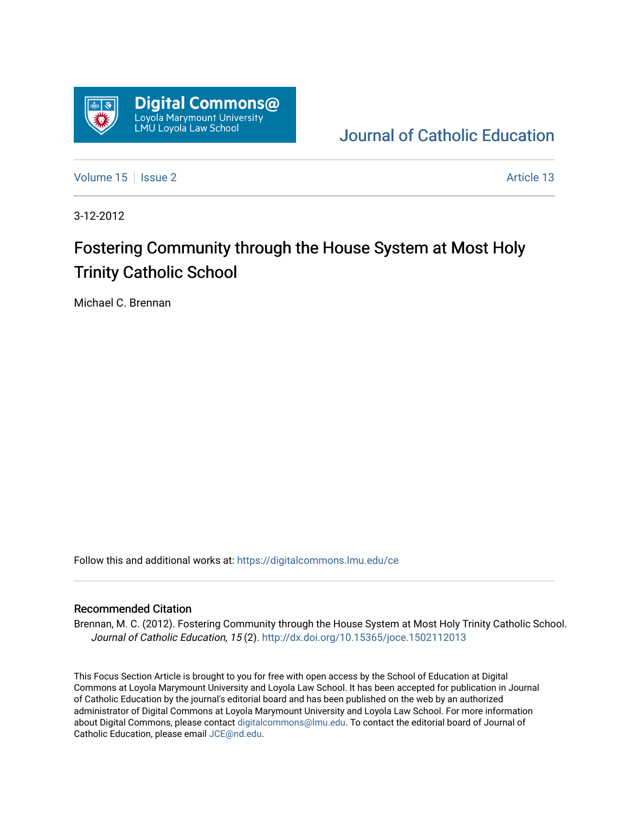

[Journal of Catholic Education](https://digitalcommons.lmu.edu/ce) 

[Volume 15](https://digitalcommons.lmu.edu/ce/vol15) | [Issue 2](https://digitalcommons.lmu.edu/ce/vol15/iss2) Article 13

3-12-2012

# Fostering Community through the House System at Most Holy Trinity Catholic School

Michael C. Brennan

Follow this and additional works at: [https://digitalcommons.lmu.edu/ce](https://digitalcommons.lmu.edu/ce?utm_source=digitalcommons.lmu.edu%2Fce%2Fvol15%2Fiss2%2F13&utm_medium=PDF&utm_campaign=PDFCoverPages)

# Recommended Citation

Brennan, M. C. (2012). Fostering Community through the House System at Most Holy Trinity Catholic School. Journal of Catholic Education, 15 (2).<http://dx.doi.org/10.15365/joce.1502112013>

This Focus Section Article is brought to you for free with open access by the School of Education at Digital Commons at Loyola Marymount University and Loyola Law School. It has been accepted for publication in Journal of Catholic Education by the journal's editorial board and has been published on the web by an authorized administrator of Digital Commons at Loyola Marymount University and Loyola Law School. For more information about Digital Commons, please contact [digitalcommons@lmu.edu](mailto:digitalcommons@lmu.edu). To contact the editorial board of Journal of Catholic Education, please email [JCE@nd.edu.](mailto:JCE@nd.edu)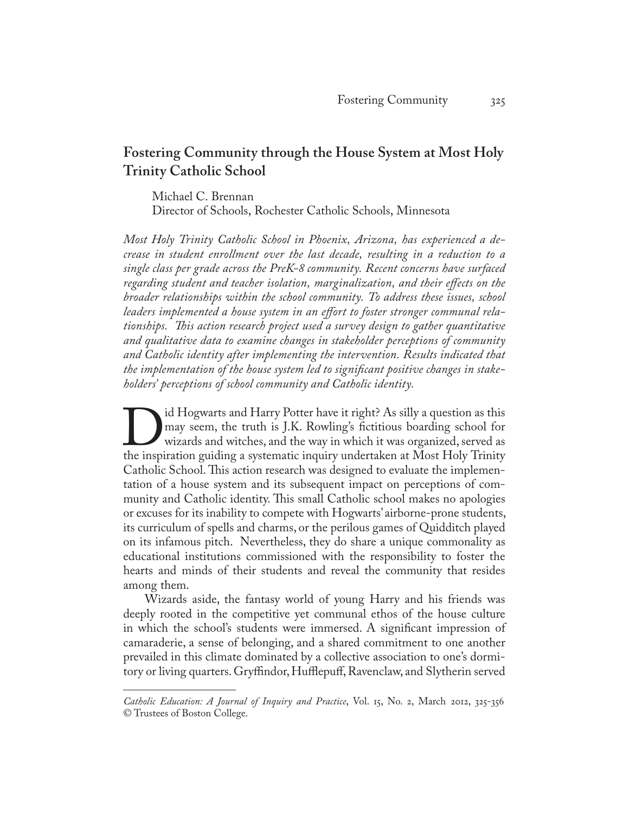# **Fostering Community through the House System at Most Holy Trinity Catholic School**

Michael C. Brennan Director of Schools, Rochester Catholic Schools, Minnesota

*Most Holy Trinity Catholic School in Phoenix, Arizona, has experienced a decrease in student enrollment over the last decade, resulting in a reduction to a single class per grade across the PreK-8 community. Recent concerns have surfaced regarding student and teacher isolation, marginalization, and their effects on the broader relationships within the school community. To address these issues, school leaders implemented a house system in an effort to foster stronger communal relationships. This action research project used a survey design to gather quantitative and qualitative data to examine changes in stakeholder perceptions of community and Catholic identity after implementing the intervention. Results indicated that the implementation of the house system led to significant positive changes in stakeholders' perceptions of school community and Catholic identity.*

I all Hogwarts and Harry Potter have it right? As silly a question as this may seem, the truth is J.K. Rowling's fictitious boarding school for wizards and witches, and the way in which it was organized, served as the insp may seem, the truth is J.K. Rowling's fictitious boarding school for wizards and witches, and the way in which it was organized, served as the inspiration guiding a systematic inquiry undertaken at Most Holy Trinity Catholic School. This action research was designed to evaluate the implementation of a house system and its subsequent impact on perceptions of community and Catholic identity. This small Catholic school makes no apologies or excuses for its inability to compete with Hogwarts' airborne-prone students, its curriculum of spells and charms, or the perilous games of Quidditch played on its infamous pitch. Nevertheless, they do share a unique commonality as educational institutions commissioned with the responsibility to foster the hearts and minds of their students and reveal the community that resides among them.

Wizards aside, the fantasy world of young Harry and his friends was deeply rooted in the competitive yet communal ethos of the house culture in which the school's students were immersed. A significant impression of camaraderie, a sense of belonging, and a shared commitment to one another prevailed in this climate dominated by a collective association to one's dormitory or living quarters. Gryffindor, Hufflepuff, Ravenclaw, and Slytherin served

*Catholic Education: A Journal of Inquiry and Practice*, Vol. 15, No. 2, March 2012, 325-356 © Trustees of Boston College.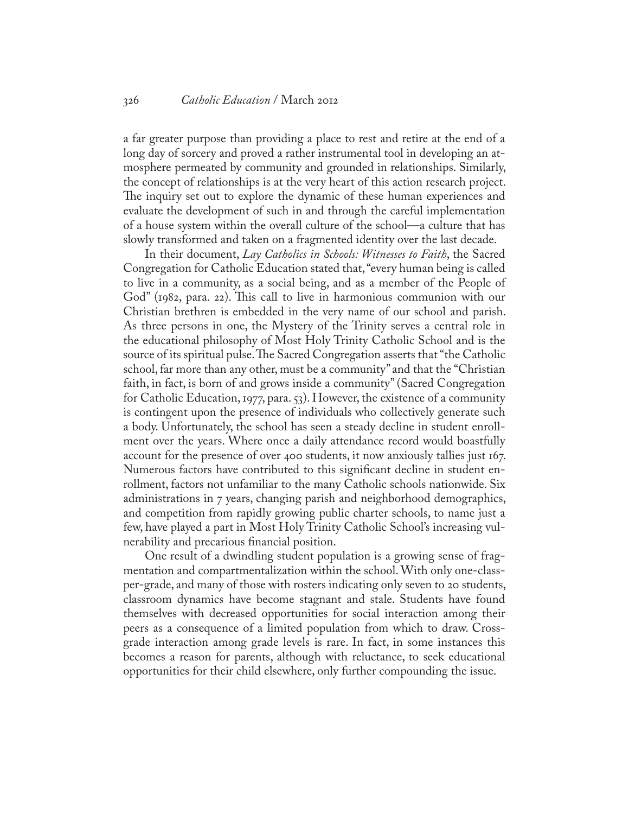a far greater purpose than providing a place to rest and retire at the end of a long day of sorcery and proved a rather instrumental tool in developing an atmosphere permeated by community and grounded in relationships. Similarly, the concept of relationships is at the very heart of this action research project. The inquiry set out to explore the dynamic of these human experiences and evaluate the development of such in and through the careful implementation of a house system within the overall culture of the school—a culture that has slowly transformed and taken on a fragmented identity over the last decade.

In their document, *Lay Catholics in Schools: Witnesses to Faith*, the Sacred Congregation for Catholic Education stated that, "every human being is called to live in a community, as a social being, and as a member of the People of God" (1982, para. 22). This call to live in harmonious communion with our Christian brethren is embedded in the very name of our school and parish. As three persons in one, the Mystery of the Trinity serves a central role in the educational philosophy of Most Holy Trinity Catholic School and is the source of its spiritual pulse. The Sacred Congregation asserts that "the Catholic school, far more than any other, must be a community" and that the "Christian faith, in fact, is born of and grows inside a community" (Sacred Congregation for Catholic Education, 1977, para. 53). However, the existence of a community is contingent upon the presence of individuals who collectively generate such a body. Unfortunately, the school has seen a steady decline in student enrollment over the years. Where once a daily attendance record would boastfully account for the presence of over 400 students, it now anxiously tallies just 167. Numerous factors have contributed to this significant decline in student enrollment, factors not unfamiliar to the many Catholic schools nationwide. Six administrations in 7 years, changing parish and neighborhood demographics, and competition from rapidly growing public charter schools, to name just a few, have played a part in Most Holy Trinity Catholic School's increasing vulnerability and precarious financial position.

One result of a dwindling student population is a growing sense of fragmentation and compartmentalization within the school. With only one-classper-grade, and many of those with rosters indicating only seven to 20 students, classroom dynamics have become stagnant and stale. Students have found themselves with decreased opportunities for social interaction among their peers as a consequence of a limited population from which to draw. Crossgrade interaction among grade levels is rare. In fact, in some instances this becomes a reason for parents, although with reluctance, to seek educational opportunities for their child elsewhere, only further compounding the issue.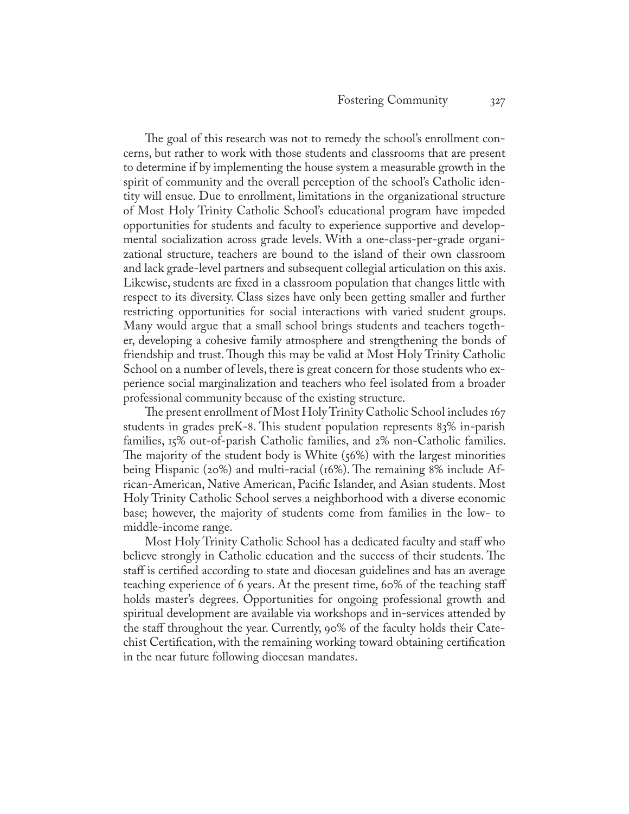The goal of this research was not to remedy the school's enrollment concerns, but rather to work with those students and classrooms that are present to determine if by implementing the house system a measurable growth in the spirit of community and the overall perception of the school's Catholic identity will ensue. Due to enrollment, limitations in the organizational structure of Most Holy Trinity Catholic School's educational program have impeded opportunities for students and faculty to experience supportive and developmental socialization across grade levels. With a one-class-per-grade organizational structure, teachers are bound to the island of their own classroom and lack grade-level partners and subsequent collegial articulation on this axis. Likewise, students are fixed in a classroom population that changes little with respect to its diversity. Class sizes have only been getting smaller and further restricting opportunities for social interactions with varied student groups. Many would argue that a small school brings students and teachers together, developing a cohesive family atmosphere and strengthening the bonds of friendship and trust. Though this may be valid at Most Holy Trinity Catholic School on a number of levels, there is great concern for those students who experience social marginalization and teachers who feel isolated from a broader professional community because of the existing structure.

The present enrollment of Most Holy Trinity Catholic School includes 167 students in grades preK-8. This student population represents 83% in-parish families, 15% out-of-parish Catholic families, and 2% non-Catholic families. The majority of the student body is White (56%) with the largest minorities being Hispanic (20%) and multi-racial (16%). The remaining 8% include African-American, Native American, Pacific Islander, and Asian students. Most Holy Trinity Catholic School serves a neighborhood with a diverse economic base; however, the majority of students come from families in the low- to middle-income range.

Most Holy Trinity Catholic School has a dedicated faculty and staff who believe strongly in Catholic education and the success of their students. The staff is certified according to state and diocesan guidelines and has an average teaching experience of 6 years. At the present time, 60% of the teaching staff holds master's degrees. Opportunities for ongoing professional growth and spiritual development are available via workshops and in-services attended by the staff throughout the year. Currently, 90% of the faculty holds their Catechist Certification, with the remaining working toward obtaining certification in the near future following diocesan mandates.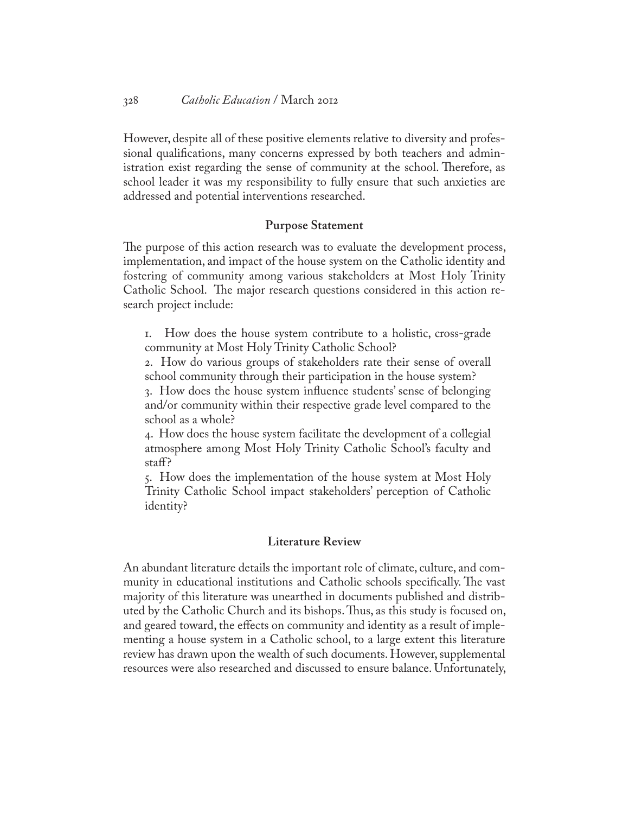However, despite all of these positive elements relative to diversity and professional qualifications, many concerns expressed by both teachers and administration exist regarding the sense of community at the school. Therefore, as school leader it was my responsibility to fully ensure that such anxieties are addressed and potential interventions researched.

# **Purpose Statement**

The purpose of this action research was to evaluate the development process, implementation, and impact of the house system on the Catholic identity and fostering of community among various stakeholders at Most Holy Trinity Catholic School. The major research questions considered in this action research project include:

1. How does the house system contribute to a holistic, cross-grade community at Most Holy Trinity Catholic School?

2. How do various groups of stakeholders rate their sense of overall school community through their participation in the house system?

3. How does the house system influence students' sense of belonging and/or community within their respective grade level compared to the school as a whole?

4. How does the house system facilitate the development of a collegial atmosphere among Most Holy Trinity Catholic School's faculty and staff?

5. How does the implementation of the house system at Most Holy Trinity Catholic School impact stakeholders' perception of Catholic identity?

# **Literature Review**

An abundant literature details the important role of climate, culture, and community in educational institutions and Catholic schools specifically. The vast majority of this literature was unearthed in documents published and distributed by the Catholic Church and its bishops. Thus, as this study is focused on, and geared toward, the effects on community and identity as a result of implementing a house system in a Catholic school, to a large extent this literature review has drawn upon the wealth of such documents. However, supplemental resources were also researched and discussed to ensure balance. Unfortunately,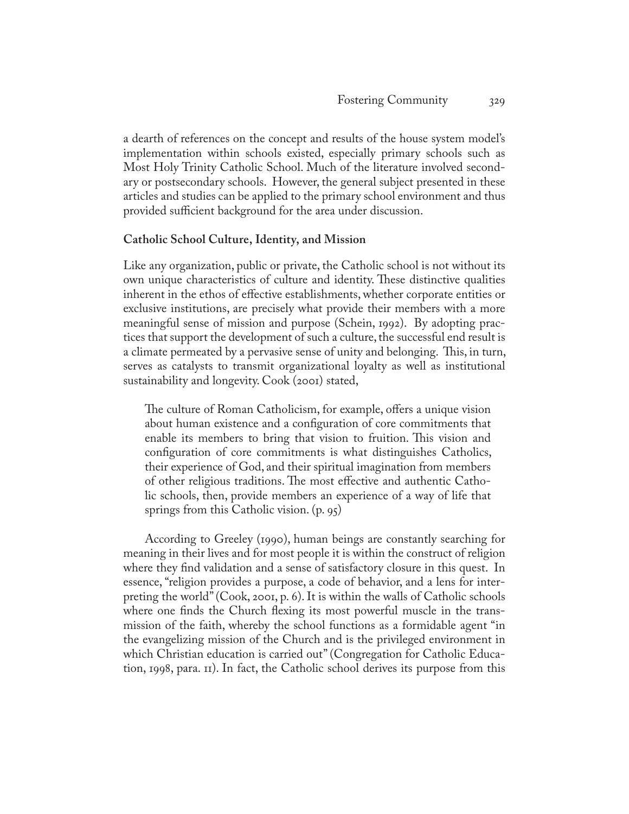a dearth of references on the concept and results of the house system model's implementation within schools existed, especially primary schools such as Most Holy Trinity Catholic School. Much of the literature involved secondary or postsecondary schools. However, the general subject presented in these articles and studies can be applied to the primary school environment and thus provided sufficient background for the area under discussion.

# **Catholic School Culture, Identity, and Mission**

Like any organization, public or private, the Catholic school is not without its own unique characteristics of culture and identity. These distinctive qualities inherent in the ethos of effective establishments, whether corporate entities or exclusive institutions, are precisely what provide their members with a more meaningful sense of mission and purpose (Schein, 1992). By adopting practices that support the development of such a culture, the successful end result is a climate permeated by a pervasive sense of unity and belonging. This, in turn, serves as catalysts to transmit organizational loyalty as well as institutional sustainability and longevity. Cook (2001) stated,

The culture of Roman Catholicism, for example, offers a unique vision about human existence and a configuration of core commitments that enable its members to bring that vision to fruition. This vision and configuration of core commitments is what distinguishes Catholics, their experience of God, and their spiritual imagination from members of other religious traditions. The most effective and authentic Catholic schools, then, provide members an experience of a way of life that springs from this Catholic vision. (p. 95)

According to Greeley (1990), human beings are constantly searching for meaning in their lives and for most people it is within the construct of religion where they find validation and a sense of satisfactory closure in this quest. In essence, "religion provides a purpose, a code of behavior, and a lens for interpreting the world" (Cook, 2001, p. 6). It is within the walls of Catholic schools where one finds the Church flexing its most powerful muscle in the transmission of the faith, whereby the school functions as a formidable agent "in the evangelizing mission of the Church and is the privileged environment in which Christian education is carried out" (Congregation for Catholic Education, 1998, para. 11). In fact, the Catholic school derives its purpose from this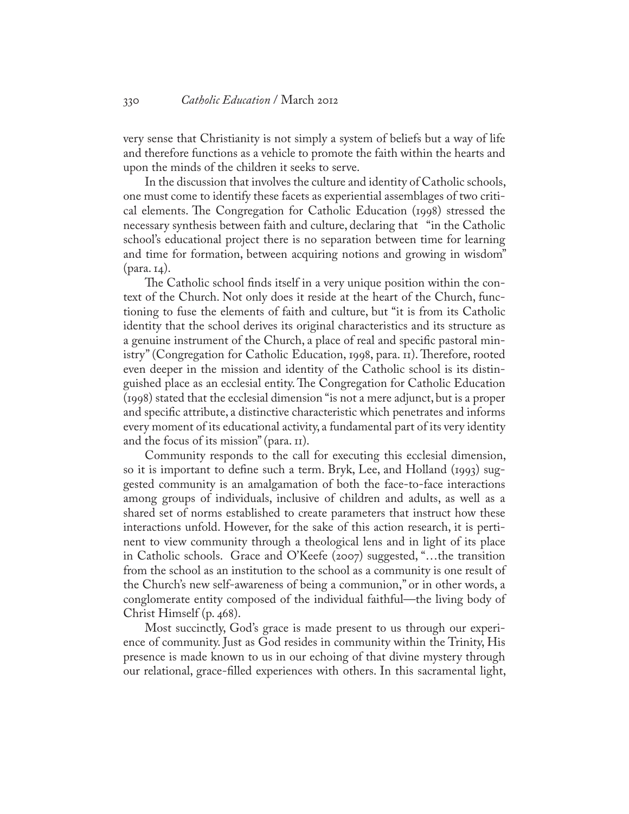very sense that Christianity is not simply a system of beliefs but a way of life and therefore functions as a vehicle to promote the faith within the hearts and upon the minds of the children it seeks to serve.

In the discussion that involves the culture and identity of Catholic schools, one must come to identify these facets as experiential assemblages of two critical elements. The Congregation for Catholic Education (1998) stressed the necessary synthesis between faith and culture, declaring that "in the Catholic school's educational project there is no separation between time for learning and time for formation, between acquiring notions and growing in wisdom" (para. 14).

The Catholic school finds itself in a very unique position within the context of the Church. Not only does it reside at the heart of the Church, functioning to fuse the elements of faith and culture, but "it is from its Catholic identity that the school derives its original characteristics and its structure as a genuine instrument of the Church, a place of real and specific pastoral ministry" (Congregation for Catholic Education, 1998, para. 11). Therefore, rooted even deeper in the mission and identity of the Catholic school is its distinguished place as an ecclesial entity. The Congregation for Catholic Education (1998) stated that the ecclesial dimension "is not a mere adjunct, but is a proper and specific attribute, a distinctive characteristic which penetrates and informs every moment of its educational activity, a fundamental part of its very identity and the focus of its mission" (para. 11).

Community responds to the call for executing this ecclesial dimension, so it is important to define such a term. Bryk, Lee, and Holland (1993) suggested community is an amalgamation of both the face-to-face interactions among groups of individuals, inclusive of children and adults, as well as a shared set of norms established to create parameters that instruct how these interactions unfold. However, for the sake of this action research, it is pertinent to view community through a theological lens and in light of its place in Catholic schools. Grace and O'Keefe (2007) suggested, "…the transition from the school as an institution to the school as a community is one result of the Church's new self-awareness of being a communion," or in other words, a conglomerate entity composed of the individual faithful—the living body of Christ Himself (p. 468).

Most succinctly, God's grace is made present to us through our experience of community. Just as God resides in community within the Trinity, His presence is made known to us in our echoing of that divine mystery through our relational, grace-filled experiences with others. In this sacramental light,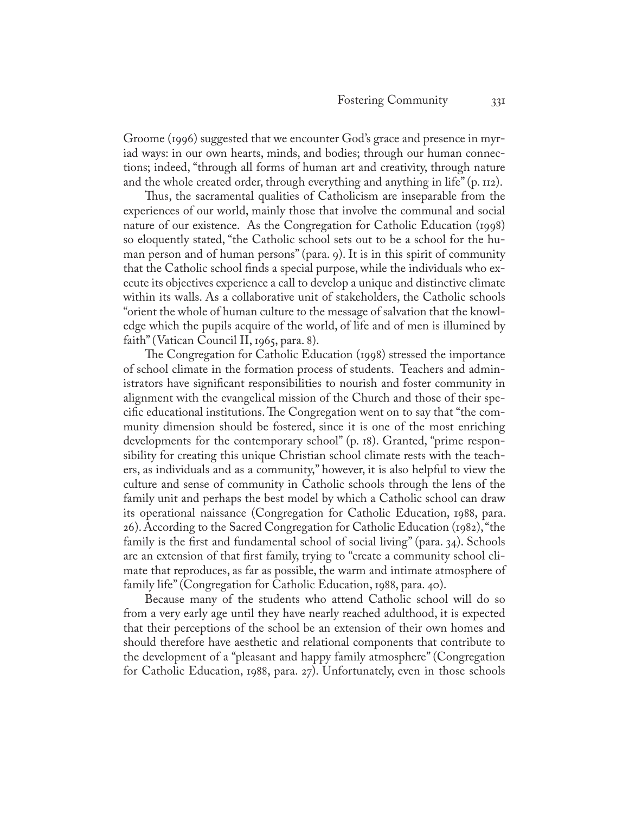Groome (1996) suggested that we encounter God's grace and presence in myriad ways: in our own hearts, minds, and bodies; through our human connections; indeed, "through all forms of human art and creativity, through nature and the whole created order, through everything and anything in life" (p. 112).

Thus, the sacramental qualities of Catholicism are inseparable from the experiences of our world, mainly those that involve the communal and social nature of our existence. As the Congregation for Catholic Education (1998) so eloquently stated, "the Catholic school sets out to be a school for the human person and of human persons" (para. 9). It is in this spirit of community that the Catholic school finds a special purpose, while the individuals who execute its objectives experience a call to develop a unique and distinctive climate within its walls. As a collaborative unit of stakeholders, the Catholic schools "orient the whole of human culture to the message of salvation that the knowledge which the pupils acquire of the world, of life and of men is illumined by faith" (Vatican Council II, 1965, para. 8).

The Congregation for Catholic Education (1998) stressed the importance of school climate in the formation process of students. Teachers and administrators have significant responsibilities to nourish and foster community in alignment with the evangelical mission of the Church and those of their specific educational institutions. The Congregation went on to say that "the community dimension should be fostered, since it is one of the most enriching developments for the contemporary school" (p. 18). Granted, "prime responsibility for creating this unique Christian school climate rests with the teachers, as individuals and as a community," however, it is also helpful to view the culture and sense of community in Catholic schools through the lens of the family unit and perhaps the best model by which a Catholic school can draw its operational naissance (Congregation for Catholic Education, 1988, para. 26). According to the Sacred Congregation for Catholic Education (1982), "the family is the first and fundamental school of social living" (para. 34). Schools are an extension of that first family, trying to "create a community school climate that reproduces, as far as possible, the warm and intimate atmosphere of family life" (Congregation for Catholic Education, 1988, para. 40).

Because many of the students who attend Catholic school will do so from a very early age until they have nearly reached adulthood, it is expected that their perceptions of the school be an extension of their own homes and should therefore have aesthetic and relational components that contribute to the development of a "pleasant and happy family atmosphere" (Congregation for Catholic Education, 1988, para. 27). Unfortunately, even in those schools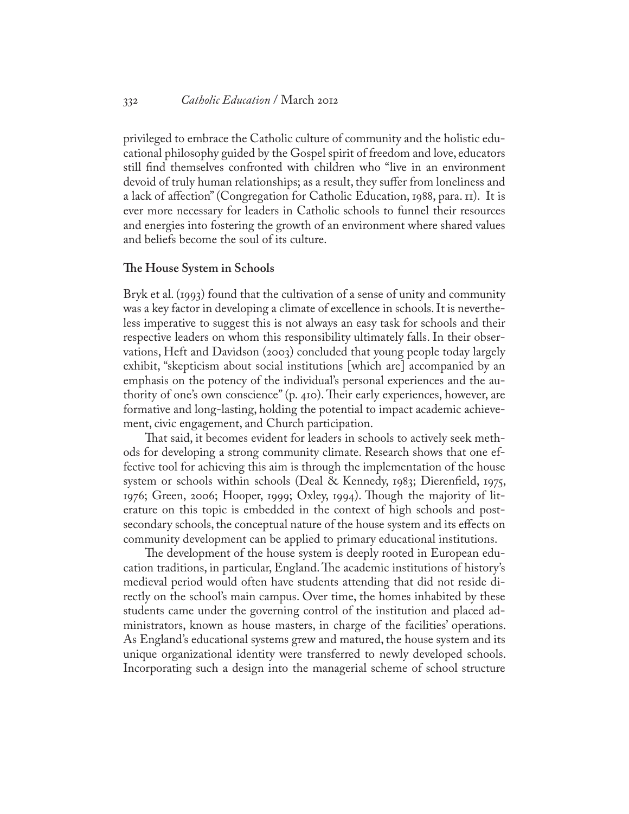# 332 *Catholic Education* / March 2012

privileged to embrace the Catholic culture of community and the holistic educational philosophy guided by the Gospel spirit of freedom and love, educators still find themselves confronted with children who "live in an environment devoid of truly human relationships; as a result, they suffer from loneliness and a lack of affection" (Congregation for Catholic Education, 1988, para. 11). It is ever more necessary for leaders in Catholic schools to funnel their resources and energies into fostering the growth of an environment where shared values and beliefs become the soul of its culture.

# **The House System in Schools**

Bryk et al. (1993) found that the cultivation of a sense of unity and community was a key factor in developing a climate of excellence in schools. It is nevertheless imperative to suggest this is not always an easy task for schools and their respective leaders on whom this responsibility ultimately falls. In their observations, Heft and Davidson (2003) concluded that young people today largely exhibit, "skepticism about social institutions [which are] accompanied by an emphasis on the potency of the individual's personal experiences and the authority of one's own conscience" (p. 410). Their early experiences, however, are formative and long-lasting, holding the potential to impact academic achievement, civic engagement, and Church participation.

That said, it becomes evident for leaders in schools to actively seek methods for developing a strong community climate. Research shows that one effective tool for achieving this aim is through the implementation of the house system or schools within schools (Deal & Kennedy, 1983; Dierenfield, 1975, 1976; Green, 2006; Hooper, 1999; Oxley, 1994). Though the majority of literature on this topic is embedded in the context of high schools and postsecondary schools, the conceptual nature of the house system and its effects on community development can be applied to primary educational institutions.

The development of the house system is deeply rooted in European education traditions, in particular, England. The academic institutions of history's medieval period would often have students attending that did not reside directly on the school's main campus. Over time, the homes inhabited by these students came under the governing control of the institution and placed administrators, known as house masters, in charge of the facilities' operations. As England's educational systems grew and matured, the house system and its unique organizational identity were transferred to newly developed schools. Incorporating such a design into the managerial scheme of school structure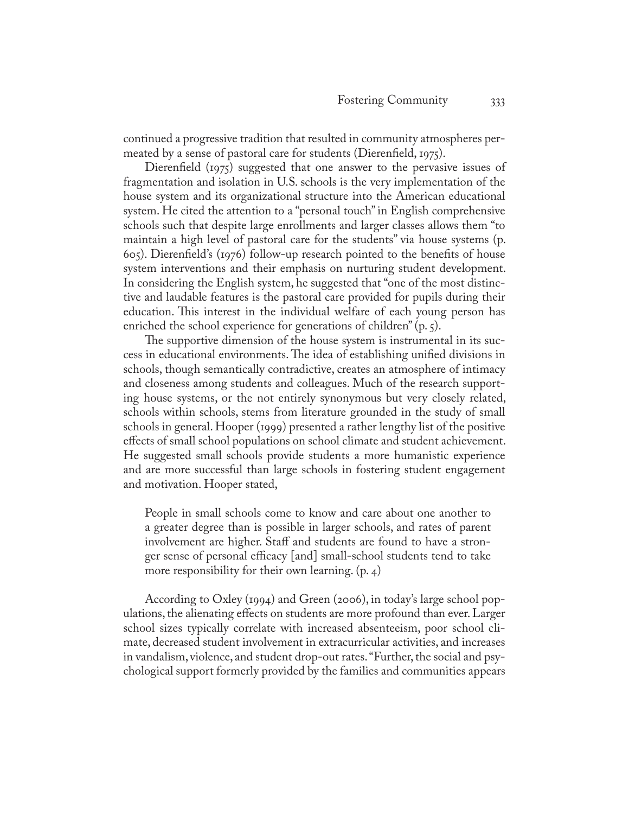continued a progressive tradition that resulted in community atmospheres permeated by a sense of pastoral care for students (Dierenfield, 1975).

Dierenfield (1975) suggested that one answer to the pervasive issues of fragmentation and isolation in U.S. schools is the very implementation of the house system and its organizational structure into the American educational system. He cited the attention to a "personal touch" in English comprehensive schools such that despite large enrollments and larger classes allows them "to maintain a high level of pastoral care for the students" via house systems (p. 605). Dierenfield's (1976) follow-up research pointed to the benefits of house system interventions and their emphasis on nurturing student development. In considering the English system, he suggested that "one of the most distinctive and laudable features is the pastoral care provided for pupils during their education. This interest in the individual welfare of each young person has enriched the school experience for generations of children"  $(p, \zeta)$ .

The supportive dimension of the house system is instrumental in its success in educational environments. The idea of establishing unified divisions in schools, though semantically contradictive, creates an atmosphere of intimacy and closeness among students and colleagues. Much of the research supporting house systems, or the not entirely synonymous but very closely related, schools within schools, stems from literature grounded in the study of small schools in general. Hooper (1999) presented a rather lengthy list of the positive effects of small school populations on school climate and student achievement. He suggested small schools provide students a more humanistic experience and are more successful than large schools in fostering student engagement and motivation. Hooper stated,

People in small schools come to know and care about one another to a greater degree than is possible in larger schools, and rates of parent involvement are higher. Staff and students are found to have a stronger sense of personal efficacy [and] small-school students tend to take more responsibility for their own learning. (p. 4)

According to Oxley (1994) and Green (2006), in today's large school populations, the alienating effects on students are more profound than ever. Larger school sizes typically correlate with increased absenteeism, poor school climate, decreased student involvement in extracurricular activities, and increases in vandalism, violence, and student drop-out rates. "Further, the social and psychological support formerly provided by the families and communities appears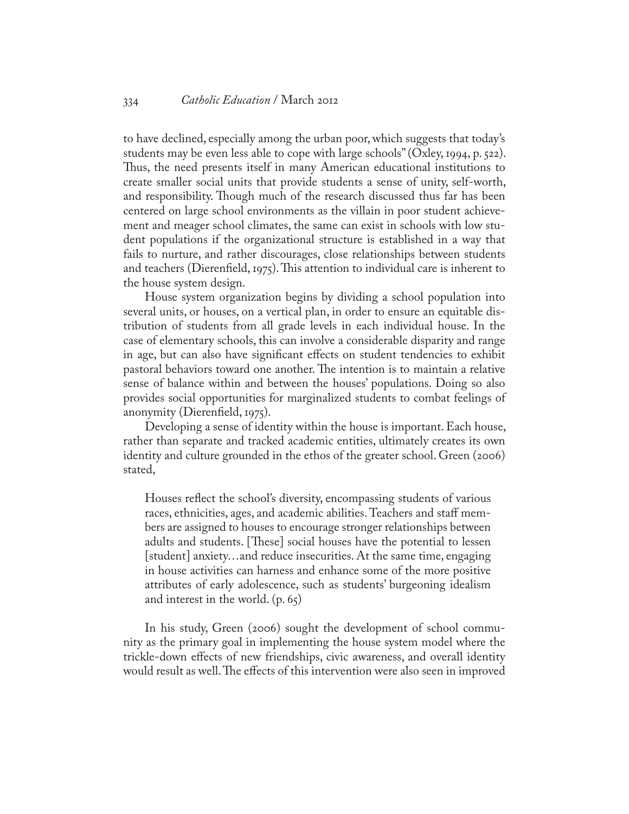to have declined, especially among the urban poor, which suggests that today's students may be even less able to cope with large schools" (Oxley, 1994, p. 522). Thus, the need presents itself in many American educational institutions to create smaller social units that provide students a sense of unity, self-worth, and responsibility. Though much of the research discussed thus far has been centered on large school environments as the villain in poor student achievement and meager school climates, the same can exist in schools with low student populations if the organizational structure is established in a way that fails to nurture, and rather discourages, close relationships between students and teachers (Dierenfield, 1975). This attention to individual care is inherent to the house system design.

House system organization begins by dividing a school population into several units, or houses, on a vertical plan, in order to ensure an equitable distribution of students from all grade levels in each individual house. In the case of elementary schools, this can involve a considerable disparity and range in age, but can also have significant effects on student tendencies to exhibit pastoral behaviors toward one another. The intention is to maintain a relative sense of balance within and between the houses' populations. Doing so also provides social opportunities for marginalized students to combat feelings of anonymity (Dierenfield, 1975).

Developing a sense of identity within the house is important. Each house, rather than separate and tracked academic entities, ultimately creates its own identity and culture grounded in the ethos of the greater school. Green (2006) stated,

Houses reflect the school's diversity, encompassing students of various races, ethnicities, ages, and academic abilities. Teachers and staff members are assigned to houses to encourage stronger relationships between adults and students. [These] social houses have the potential to lessen [student] anxiety…and reduce insecurities. At the same time, engaging in house activities can harness and enhance some of the more positive attributes of early adolescence, such as students' burgeoning idealism and interest in the world. (p. 65)

In his study, Green (2006) sought the development of school community as the primary goal in implementing the house system model where the trickle-down effects of new friendships, civic awareness, and overall identity would result as well. The effects of this intervention were also seen in improved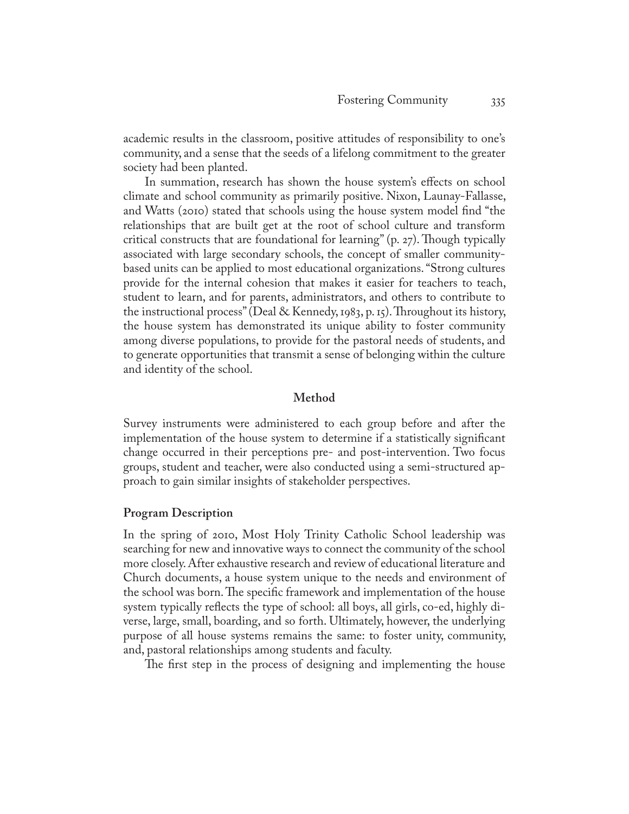academic results in the classroom, positive attitudes of responsibility to one's community, and a sense that the seeds of a lifelong commitment to the greater society had been planted.

In summation, research has shown the house system's effects on school climate and school community as primarily positive. Nixon, Launay-Fallasse, and Watts (2010) stated that schools using the house system model find "the relationships that are built get at the root of school culture and transform critical constructs that are foundational for learning" (p. 27). Though typically associated with large secondary schools, the concept of smaller communitybased units can be applied to most educational organizations. "Strong cultures provide for the internal cohesion that makes it easier for teachers to teach, student to learn, and for parents, administrators, and others to contribute to the instructional process" (Deal & Kennedy, 1983, p. 15). Throughout its history, the house system has demonstrated its unique ability to foster community among diverse populations, to provide for the pastoral needs of students, and to generate opportunities that transmit a sense of belonging within the culture and identity of the school.

# **Method**

Survey instruments were administered to each group before and after the implementation of the house system to determine if a statistically significant change occurred in their perceptions pre- and post-intervention. Two focus groups, student and teacher, were also conducted using a semi-structured approach to gain similar insights of stakeholder perspectives.

# **Program Description**

In the spring of 2010, Most Holy Trinity Catholic School leadership was searching for new and innovative ways to connect the community of the school more closely. After exhaustive research and review of educational literature and Church documents, a house system unique to the needs and environment of the school was born. The specific framework and implementation of the house system typically reflects the type of school: all boys, all girls, co-ed, highly diverse, large, small, boarding, and so forth. Ultimately, however, the underlying purpose of all house systems remains the same: to foster unity, community, and, pastoral relationships among students and faculty.

The first step in the process of designing and implementing the house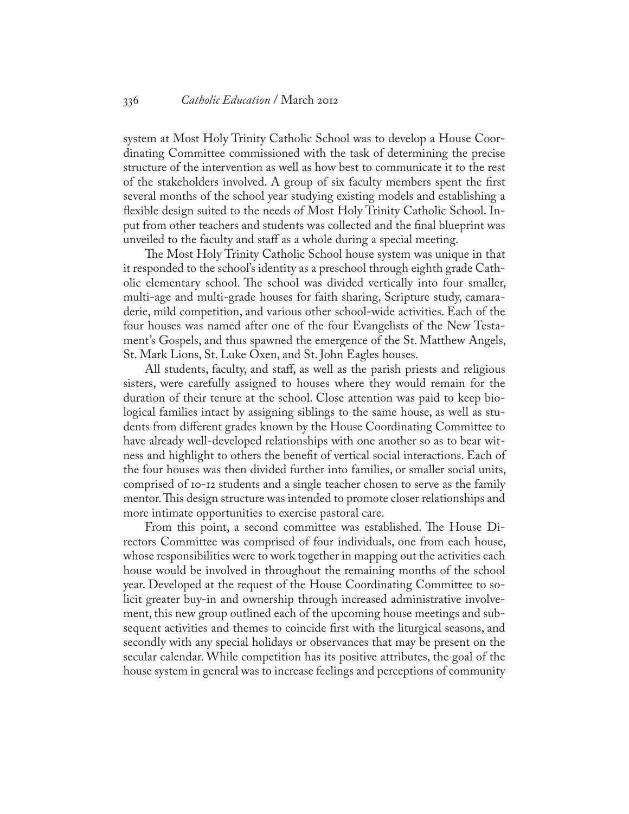system at Most Holy Trinity Catholic School was to develop a House Coordinating Committee commissioned with the task of determining the precise structure of the intervention as well as how best to communicate it to the rest of the stakeholders involved. A group of six faculty members spent the first several months of the school year studying existing models and establishing a flexible design suited to the needs of Most Holy Trinity Catholic School. Input from other teachers and students was collected and the final blueprint was unveiled to the faculty and staff as a whole during a special meeting.

The Most Holy Trinity Catholic School house system was unique in that it responded to the school's identity as a preschool through eighth grade Catholic elementary school. The school was divided vertically into four smaller, multi-age and multi-grade houses for faith sharing, Scripture study, camaraderie, mild competition, and various other school-wide activities. Each of the four houses was named after one of the four Evangelists of the New Testament's Gospels, and thus spawned the emergence of the St. Matthew Angels, St. Mark Lions, St. Luke Oxen, and St. John Eagles houses.

All students, faculty, and staff, as well as the parish priests and religious sisters, were carefully assigned to houses where they would remain for the duration of their tenure at the school. Close attention was paid to keep biological families intact by assigning siblings to the same house, as well as students from different grades known by the House Coordinating Committee to have already well-developed relationships with one another so as to bear witness and highlight to others the benefit of vertical social interactions. Each of the four houses was then divided further into families, or smaller social units, comprised of 10-12 students and a single teacher chosen to serve as the family mentor. This design structure was intended to promote closer relationships and more intimate opportunities to exercise pastoral care.

From this point, a second committee was established. The House Directors Committee was comprised of four individuals, one from each house, whose responsibilities were to work together in mapping out the activities each house would be involved in throughout the remaining months of the school year. Developed at the request of the House Coordinating Committee to solicit greater buy-in and ownership through increased administrative involvement, this new group outlined each of the upcoming house meetings and subsequent activities and themes to coincide first with the liturgical seasons, and secondly with any special holidays or observances that may be present on the secular calendar. While competition has its positive attributes, the goal of the house system in general was to increase feelings and perceptions of community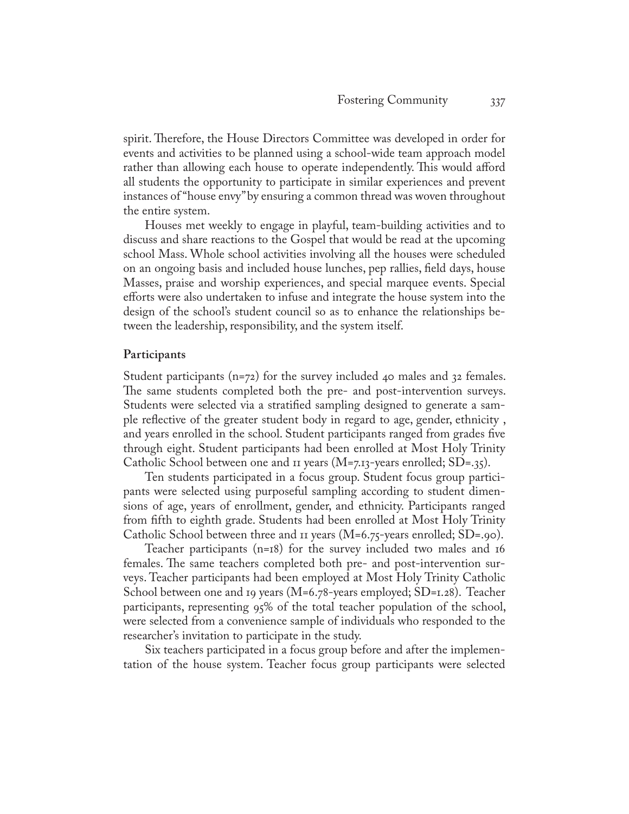spirit. Therefore, the House Directors Committee was developed in order for events and activities to be planned using a school-wide team approach model rather than allowing each house to operate independently. This would afford all students the opportunity to participate in similar experiences and prevent instances of "house envy" by ensuring a common thread was woven throughout the entire system.

Houses met weekly to engage in playful, team-building activities and to discuss and share reactions to the Gospel that would be read at the upcoming school Mass. Whole school activities involving all the houses were scheduled on an ongoing basis and included house lunches, pep rallies, field days, house Masses, praise and worship experiences, and special marquee events. Special efforts were also undertaken to infuse and integrate the house system into the design of the school's student council so as to enhance the relationships between the leadership, responsibility, and the system itself.

# **Participants**

Student participants (n=72) for the survey included 40 males and 32 females. The same students completed both the pre- and post-intervention surveys. Students were selected via a stratified sampling designed to generate a sample reflective of the greater student body in regard to age, gender, ethnicity , and years enrolled in the school. Student participants ranged from grades five through eight. Student participants had been enrolled at Most Holy Trinity Catholic School between one and 11 years (M=7.13-years enrolled; SD=.35).

Ten students participated in a focus group. Student focus group participants were selected using purposeful sampling according to student dimensions of age, years of enrollment, gender, and ethnicity. Participants ranged from fifth to eighth grade. Students had been enrolled at Most Holy Trinity Catholic School between three and 11 years (M=6.75-years enrolled; SD=.90).

Teacher participants (n=18) for the survey included two males and 16 females. The same teachers completed both pre- and post-intervention surveys. Teacher participants had been employed at Most Holy Trinity Catholic School between one and 19 years (M=6.78-years employed; SD=1.28). Teacher participants, representing 95% of the total teacher population of the school, were selected from a convenience sample of individuals who responded to the researcher's invitation to participate in the study.

Six teachers participated in a focus group before and after the implementation of the house system. Teacher focus group participants were selected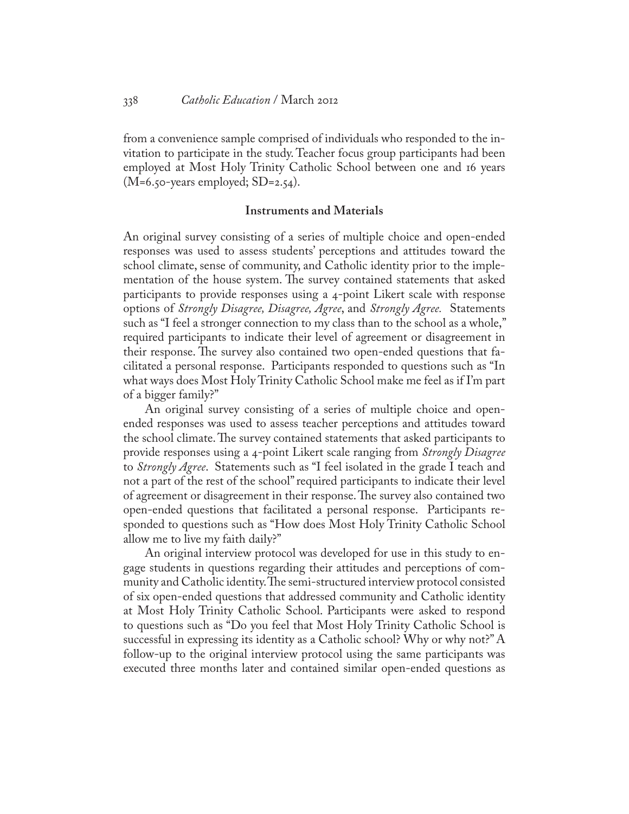from a convenience sample comprised of individuals who responded to the invitation to participate in the study. Teacher focus group participants had been employed at Most Holy Trinity Catholic School between one and 16 years  $(M=6.50$ -years employed; SD=2.54).

# **Instruments and Materials**

An original survey consisting of a series of multiple choice and open-ended responses was used to assess students' perceptions and attitudes toward the school climate, sense of community, and Catholic identity prior to the implementation of the house system. The survey contained statements that asked participants to provide responses using a 4-point Likert scale with response options of *Strongly Disagree, Disagree, Agree*, and *Strongly Agree.* Statements such as "I feel a stronger connection to my class than to the school as a whole," required participants to indicate their level of agreement or disagreement in their response. The survey also contained two open-ended questions that facilitated a personal response. Participants responded to questions such as "In what ways does Most Holy Trinity Catholic School make me feel as if I'm part of a bigger family?"

An original survey consisting of a series of multiple choice and openended responses was used to assess teacher perceptions and attitudes toward the school climate. The survey contained statements that asked participants to provide responses using a 4-point Likert scale ranging from *Strongly Disagree*  to *Strongly Agree*. Statements such as "I feel isolated in the grade I teach and not a part of the rest of the school" required participants to indicate their level of agreement or disagreement in their response. The survey also contained two open-ended questions that facilitated a personal response. Participants responded to questions such as "How does Most Holy Trinity Catholic School allow me to live my faith daily?"

An original interview protocol was developed for use in this study to engage students in questions regarding their attitudes and perceptions of community and Catholic identity. The semi-structured interview protocol consisted of six open-ended questions that addressed community and Catholic identity at Most Holy Trinity Catholic School. Participants were asked to respond to questions such as "Do you feel that Most Holy Trinity Catholic School is successful in expressing its identity as a Catholic school? Why or why not?" A follow-up to the original interview protocol using the same participants was executed three months later and contained similar open-ended questions as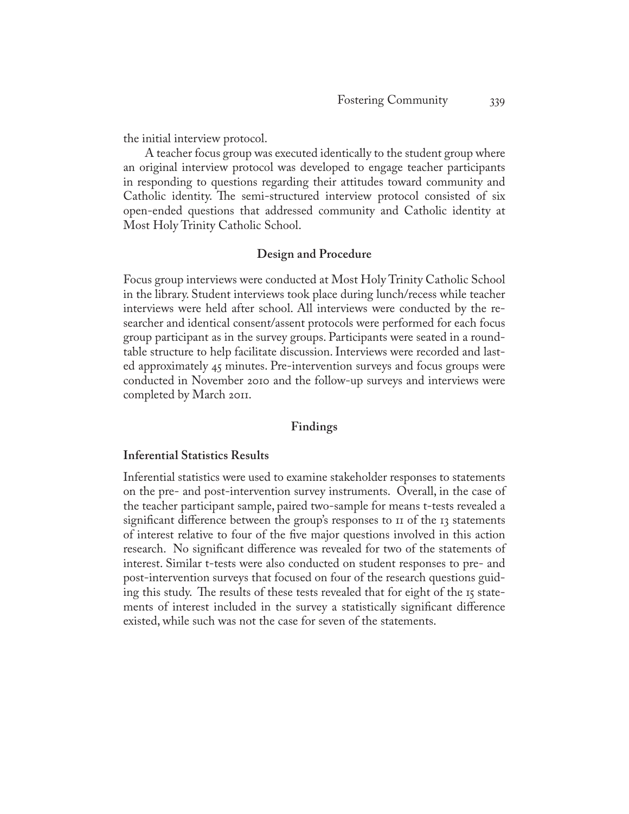the initial interview protocol.

A teacher focus group was executed identically to the student group where an original interview protocol was developed to engage teacher participants in responding to questions regarding their attitudes toward community and Catholic identity. The semi-structured interview protocol consisted of six open-ended questions that addressed community and Catholic identity at Most Holy Trinity Catholic School.

# **Design and Procedure**

Focus group interviews were conducted at Most Holy Trinity Catholic School in the library. Student interviews took place during lunch/recess while teacher interviews were held after school. All interviews were conducted by the researcher and identical consent/assent protocols were performed for each focus group participant as in the survey groups. Participants were seated in a roundtable structure to help facilitate discussion. Interviews were recorded and lasted approximately 45 minutes. Pre-intervention surveys and focus groups were conducted in November 2010 and the follow-up surveys and interviews were completed by March 2011.

# **Findings**

# **Inferential Statistics Results**

Inferential statistics were used to examine stakeholder responses to statements on the pre- and post-intervention survey instruments. Overall, in the case of the teacher participant sample, paired two-sample for means t-tests revealed a significant difference between the group's responses to  $\pi$  of the 13 statements of interest relative to four of the five major questions involved in this action research. No significant difference was revealed for two of the statements of interest. Similar t-tests were also conducted on student responses to pre- and post-intervention surveys that focused on four of the research questions guiding this study. The results of these tests revealed that for eight of the 15 statements of interest included in the survey a statistically significant difference existed, while such was not the case for seven of the statements.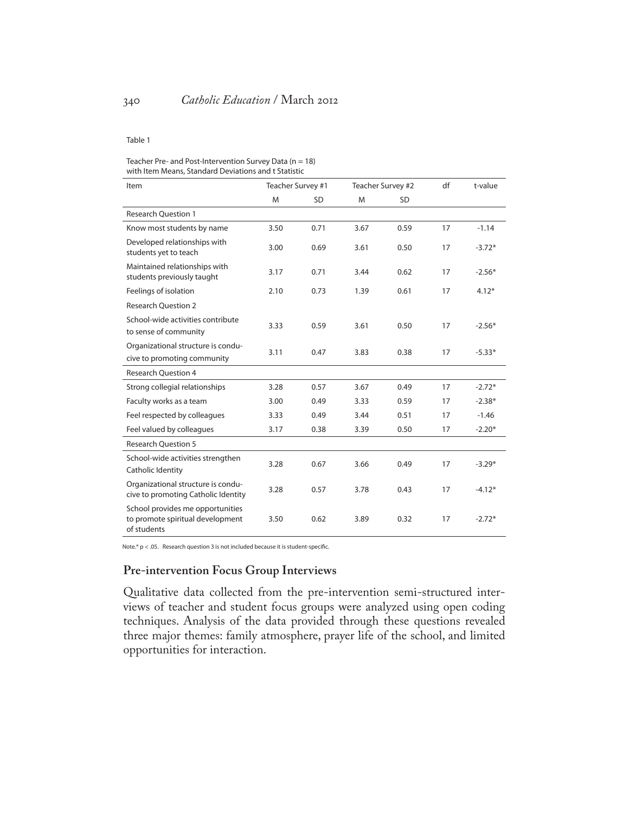#### Table 1

#### Teacher Pre- and Post-Intervention Survey Data ( $n = 18$ ) with Item Means, Standard Deviations and t Statistic

| Item                                                                                | Teacher Survey #1 |           | Teacher Survey #2 |           | df | t-value  |
|-------------------------------------------------------------------------------------|-------------------|-----------|-------------------|-----------|----|----------|
|                                                                                     | M                 | <b>SD</b> | M                 | <b>SD</b> |    |          |
| <b>Research Question 1</b>                                                          |                   |           |                   |           |    |          |
| Know most students by name                                                          | 3.50              | 0.71      | 3.67              | 0.59      | 17 | $-1.14$  |
| Developed relationships with<br>students yet to teach                               | 3.00              | 0.69      | 3.61              | 0.50      | 17 | $-3.72*$ |
| Maintained relationships with<br>students previously taught                         | 3.17              | 0.71      | 3.44              | 0.62      | 17 | $-2.56*$ |
| Feelings of isolation                                                               | 2.10              | 0.73      | 1.39              | 0.61      | 17 | $4.12*$  |
| <b>Research Ouestion 2</b>                                                          |                   |           |                   |           |    |          |
| School-wide activities contribute                                                   | 3.33              | 0.59      | 3.61              | 0.50      | 17 | $-2.56*$ |
| to sense of community                                                               |                   |           |                   |           |    |          |
| Organizational structure is condu-                                                  | 3.11              | 0.47      | 3.83              | 0.38      | 17 | $-5.33*$ |
| cive to promoting community                                                         |                   |           |                   |           |    |          |
| <b>Research Ouestion 4</b>                                                          |                   |           |                   |           |    |          |
| Strong collegial relationships                                                      | 3.28              | 0.57      | 3.67              | 0.49      | 17 | $-2.72*$ |
| Faculty works as a team                                                             | 3.00              | 0.49      | 3.33              | 0.59      | 17 | $-2.38*$ |
| Feel respected by colleagues                                                        | 3.33              | 0.49      | 3.44              | 0.51      | 17 | $-1.46$  |
| Feel valued by colleagues                                                           | 3.17              | 0.38      | 3.39              | 0.50      | 17 | $-2.20*$ |
| <b>Research Ouestion 5</b>                                                          |                   |           |                   |           |    |          |
| School-wide activities strengthen<br>Catholic Identity                              | 3.28              | 0.67      | 3.66              | 0.49      | 17 | $-3.29*$ |
| Organizational structure is condu-<br>cive to promoting Catholic Identity           | 3.28              | 0.57      | 3.78              | 0.43      | 17 | $-4.12*$ |
| School provides me opportunities<br>to promote spiritual development<br>of students | 3.50              | 0.62      | 3.89              | 0.32      | 17 | $-2.72*$ |

Note.\* p < .05. Research question 3 is not included because it is student-specific.

# **Pre-intervention Focus Group Interviews**

Qualitative data collected from the pre-intervention semi-structured interviews of teacher and student focus groups were analyzed using open coding techniques. Analysis of the data provided through these questions revealed three major themes: family atmosphere, prayer life of the school, and limited opportunities for interaction.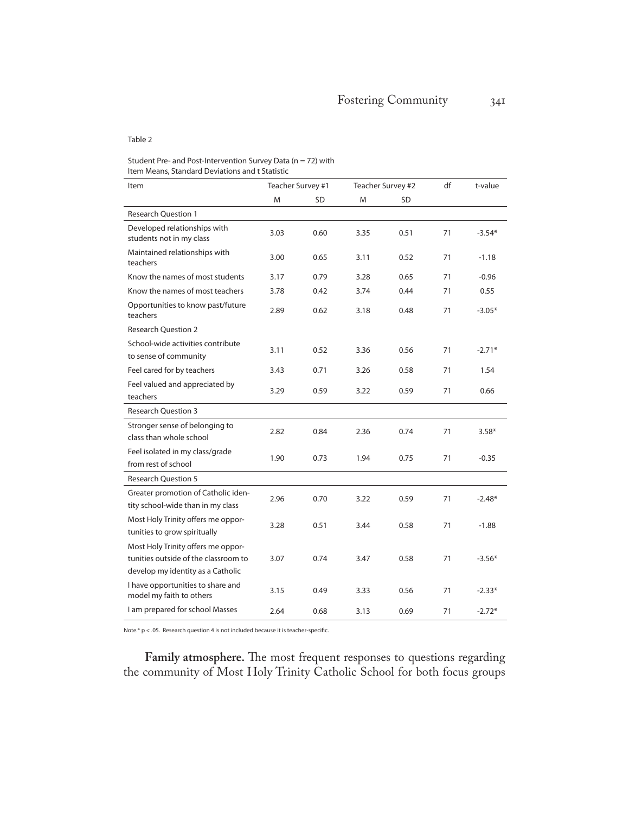#### Table 2

#### Student Pre- and Post-Intervention Survey Data ( $n = 72$ ) with Item Means, Standard Deviations and t Statistic

| Item                                                                                                            | Teacher Survey #1 |      | Teacher Survey #2 |      | df | t-value  |
|-----------------------------------------------------------------------------------------------------------------|-------------------|------|-------------------|------|----|----------|
|                                                                                                                 | M                 | SD   | M                 | SD   |    |          |
| <b>Research Question 1</b>                                                                                      |                   |      |                   |      |    |          |
| Developed relationships with<br>students not in my class                                                        | 3.03              | 0.60 | 3.35              | 0.51 | 71 | $-3.54*$ |
| Maintained relationships with<br>teachers                                                                       | 3.00              | 0.65 | 3.11              | 0.52 | 71 | $-1.18$  |
| Know the names of most students                                                                                 | 3.17              | 0.79 | 3.28              | 0.65 | 71 | $-0.96$  |
| Know the names of most teachers                                                                                 | 3.78              | 0.42 | 3.74              | 0.44 | 71 | 0.55     |
| Opportunities to know past/future<br>teachers                                                                   | 2.89              | 0.62 | 3.18              | 0.48 | 71 | $-3.05*$ |
| <b>Research Ouestion 2</b>                                                                                      |                   |      |                   |      |    |          |
| School-wide activities contribute<br>to sense of community                                                      | 3.11              | 0.52 | 3.36              | 0.56 | 71 | $-2.71*$ |
| Feel cared for by teachers                                                                                      | 3.43              | 0.71 | 3.26              | 0.58 | 71 | 1.54     |
| Feel valued and appreciated by<br>teachers                                                                      | 3.29              | 0.59 | 3.22              | 0.59 | 71 | 0.66     |
| <b>Research Ouestion 3</b>                                                                                      |                   |      |                   |      |    |          |
| Stronger sense of belonging to<br>class than whole school                                                       | 2.82              | 0.84 | 2.36              | 0.74 | 71 | $3.58*$  |
| Feel isolated in my class/grade<br>from rest of school                                                          | 1.90              | 0.73 | 1.94              | 0.75 | 71 | $-0.35$  |
| <b>Research Question 5</b>                                                                                      |                   |      |                   |      |    |          |
| Greater promotion of Catholic iden-<br>tity school-wide than in my class                                        | 2.96              | 0.70 | 3.22              | 0.59 | 71 | $-2.48*$ |
| Most Holy Trinity offers me oppor-<br>tunities to grow spiritually                                              | 3.28              | 0.51 | 3.44              | 0.58 | 71 | $-1.88$  |
| Most Holy Trinity offers me oppor-<br>tunities outside of the classroom to<br>develop my identity as a Catholic | 3.07              | 0.74 | 3.47              | 0.58 | 71 | $-3.56*$ |
| I have opportunities to share and<br>model my faith to others                                                   | 3.15              | 0.49 | 3.33              | 0.56 | 71 | $-2.33*$ |
| I am prepared for school Masses                                                                                 | 2.64              | 0.68 | 3.13              | 0.69 | 71 | $-2.72*$ |

Note.\*  $p < .05$ . Research question 4 is not included because it is teacher-specific.

**Family atmosphere.** The most frequent responses to questions regarding the community of Most Holy Trinity Catholic School for both focus groups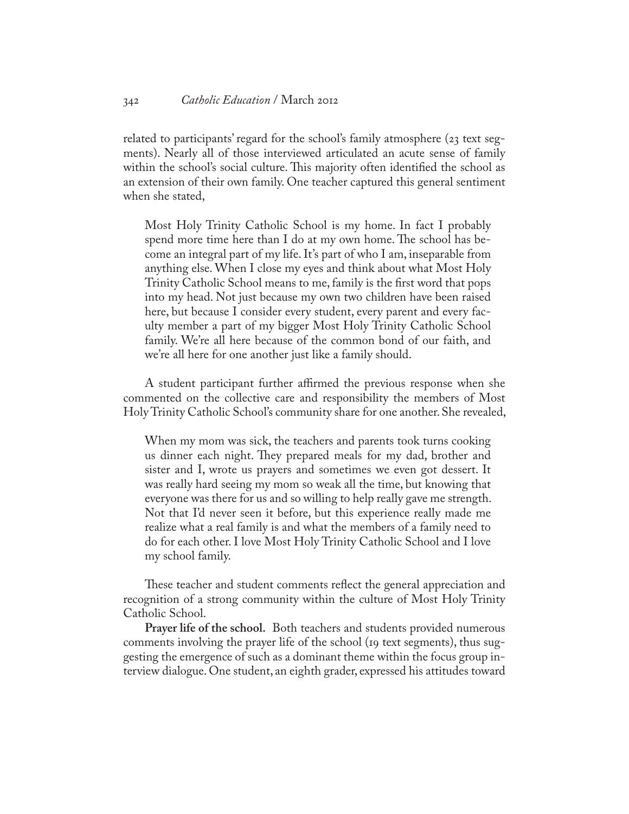related to participants' regard for the school's family atmosphere (23 text segments). Nearly all of those interviewed articulated an acute sense of family within the school's social culture. This majority often identified the school as an extension of their own family. One teacher captured this general sentiment when she stated,

Most Holy Trinity Catholic School is my home. In fact I probably spend more time here than I do at my own home. The school has become an integral part of my life. It's part of who I am, inseparable from anything else. When I close my eyes and think about what Most Holy Trinity Catholic School means to me, family is the first word that pops into my head. Not just because my own two children have been raised here, but because I consider every student, every parent and every faculty member a part of my bigger Most Holy Trinity Catholic School family. We're all here because of the common bond of our faith, and we're all here for one another just like a family should.

A student participant further affirmed the previous response when she commented on the collective care and responsibility the members of Most Holy Trinity Catholic School's community share for one another. She revealed,

When my mom was sick, the teachers and parents took turns cooking us dinner each night. They prepared meals for my dad, brother and sister and I, wrote us prayers and sometimes we even got dessert. It was really hard seeing my mom so weak all the time, but knowing that everyone was there for us and so willing to help really gave me strength. Not that I'd never seen it before, but this experience really made me realize what a real family is and what the members of a family need to do for each other. I love Most Holy Trinity Catholic School and I love my school family.

These teacher and student comments reflect the general appreciation and recognition of a strong community within the culture of Most Holy Trinity Catholic School.

**Prayer life of the school.** Both teachers and students provided numerous comments involving the prayer life of the school (19 text segments), thus suggesting the emergence of such as a dominant theme within the focus group interview dialogue. One student, an eighth grader, expressed his attitudes toward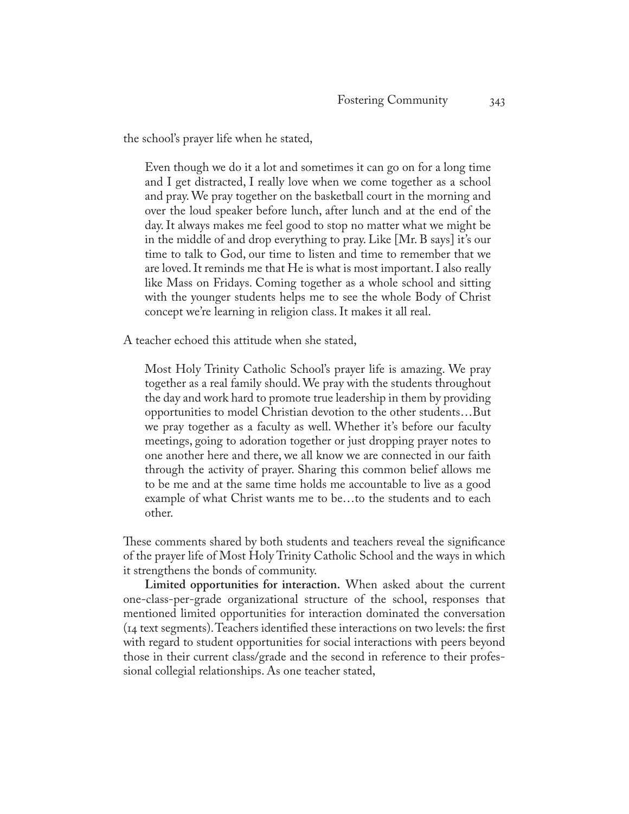the school's prayer life when he stated,

Even though we do it a lot and sometimes it can go on for a long time and I get distracted, I really love when we come together as a school and pray. We pray together on the basketball court in the morning and over the loud speaker before lunch, after lunch and at the end of the day. It always makes me feel good to stop no matter what we might be in the middle of and drop everything to pray. Like [Mr. B says] it's our time to talk to God, our time to listen and time to remember that we are loved. It reminds me that He is what is most important. I also really like Mass on Fridays. Coming together as a whole school and sitting with the younger students helps me to see the whole Body of Christ concept we're learning in religion class. It makes it all real.

A teacher echoed this attitude when she stated,

Most Holy Trinity Catholic School's prayer life is amazing. We pray together as a real family should. We pray with the students throughout the day and work hard to promote true leadership in them by providing opportunities to model Christian devotion to the other students…But we pray together as a faculty as well. Whether it's before our faculty meetings, going to adoration together or just dropping prayer notes to one another here and there, we all know we are connected in our faith through the activity of prayer. Sharing this common belief allows me to be me and at the same time holds me accountable to live as a good example of what Christ wants me to be…to the students and to each other.

These comments shared by both students and teachers reveal the significance of the prayer life of Most Holy Trinity Catholic School and the ways in which it strengthens the bonds of community.

**Limited opportunities for interaction.** When asked about the current one-class-per-grade organizational structure of the school, responses that mentioned limited opportunities for interaction dominated the conversation (14 text segments). Teachers identified these interactions on two levels: the first with regard to student opportunities for social interactions with peers beyond those in their current class/grade and the second in reference to their professional collegial relationships. As one teacher stated,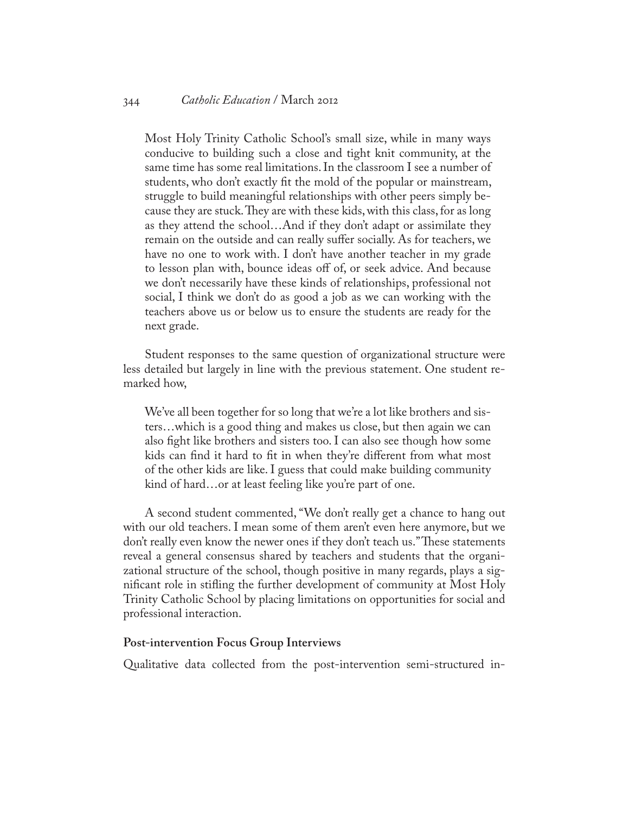Most Holy Trinity Catholic School's small size, while in many ways conducive to building such a close and tight knit community, at the same time has some real limitations. In the classroom I see a number of students, who don't exactly fit the mold of the popular or mainstream, struggle to build meaningful relationships with other peers simply because they are stuck. They are with these kids, with this class, for as long as they attend the school…And if they don't adapt or assimilate they remain on the outside and can really suffer socially. As for teachers, we have no one to work with. I don't have another teacher in my grade to lesson plan with, bounce ideas off of, or seek advice. And because we don't necessarily have these kinds of relationships, professional not social, I think we don't do as good a job as we can working with the teachers above us or below us to ensure the students are ready for the next grade.

Student responses to the same question of organizational structure were less detailed but largely in line with the previous statement. One student remarked how,

We've all been together for so long that we're a lot like brothers and sisters…which is a good thing and makes us close, but then again we can also fight like brothers and sisters too. I can also see though how some kids can find it hard to fit in when they're different from what most of the other kids are like. I guess that could make building community kind of hard…or at least feeling like you're part of one.

A second student commented, "We don't really get a chance to hang out with our old teachers. I mean some of them aren't even here anymore, but we don't really even know the newer ones if they don't teach us." These statements reveal a general consensus shared by teachers and students that the organizational structure of the school, though positive in many regards, plays a significant role in stifling the further development of community at Most Holy Trinity Catholic School by placing limitations on opportunities for social and professional interaction.

# **Post-intervention Focus Group Interviews**

Qualitative data collected from the post-intervention semi-structured in-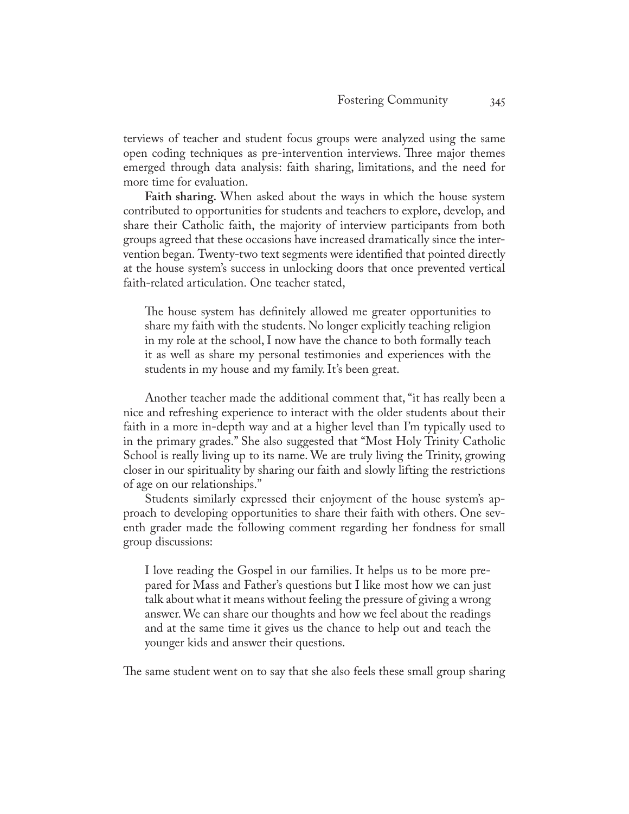terviews of teacher and student focus groups were analyzed using the same open coding techniques as pre-intervention interviews. Three major themes emerged through data analysis: faith sharing, limitations, and the need for more time for evaluation.

**Faith sharing.** When asked about the ways in which the house system contributed to opportunities for students and teachers to explore, develop, and share their Catholic faith, the majority of interview participants from both groups agreed that these occasions have increased dramatically since the intervention began. Twenty-two text segments were identified that pointed directly at the house system's success in unlocking doors that once prevented vertical faith-related articulation. One teacher stated,

The house system has definitely allowed me greater opportunities to share my faith with the students. No longer explicitly teaching religion in my role at the school, I now have the chance to both formally teach it as well as share my personal testimonies and experiences with the students in my house and my family. It's been great.

Another teacher made the additional comment that, "it has really been a nice and refreshing experience to interact with the older students about their faith in a more in-depth way and at a higher level than I'm typically used to in the primary grades." She also suggested that "Most Holy Trinity Catholic School is really living up to its name. We are truly living the Trinity, growing closer in our spirituality by sharing our faith and slowly lifting the restrictions of age on our relationships."

Students similarly expressed their enjoyment of the house system's approach to developing opportunities to share their faith with others. One seventh grader made the following comment regarding her fondness for small group discussions:

I love reading the Gospel in our families. It helps us to be more prepared for Mass and Father's questions but I like most how we can just talk about what it means without feeling the pressure of giving a wrong answer. We can share our thoughts and how we feel about the readings and at the same time it gives us the chance to help out and teach the younger kids and answer their questions.

The same student went on to say that she also feels these small group sharing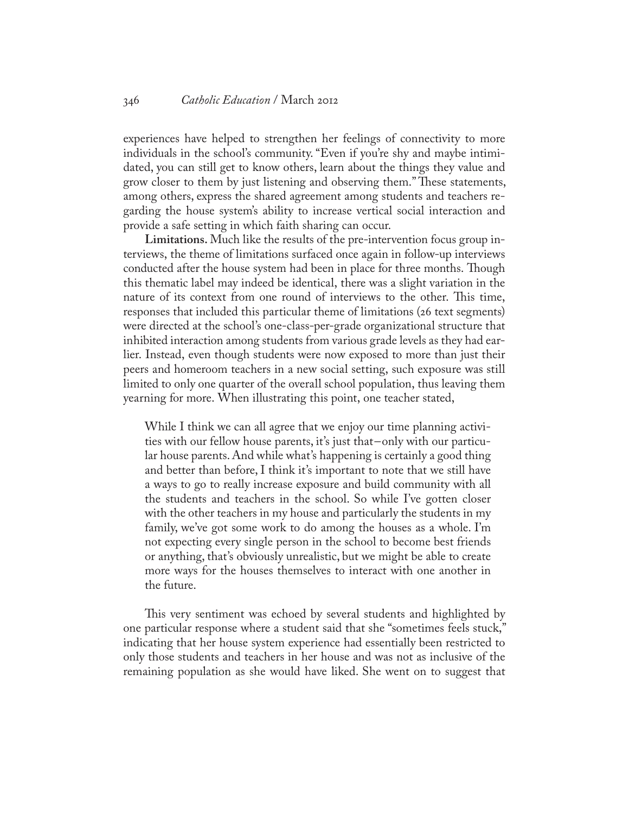# 346 *Catholic Education* / March 2012

experiences have helped to strengthen her feelings of connectivity to more individuals in the school's community. "Even if you're shy and maybe intimidated, you can still get to know others, learn about the things they value and grow closer to them by just listening and observing them." These statements, among others, express the shared agreement among students and teachers regarding the house system's ability to increase vertical social interaction and provide a safe setting in which faith sharing can occur.

**Limitations.** Much like the results of the pre-intervention focus group interviews, the theme of limitations surfaced once again in follow-up interviews conducted after the house system had been in place for three months. Though this thematic label may indeed be identical, there was a slight variation in the nature of its context from one round of interviews to the other. This time, responses that included this particular theme of limitations (26 text segments) were directed at the school's one-class-per-grade organizational structure that inhibited interaction among students from various grade levels as they had earlier. Instead, even though students were now exposed to more than just their peers and homeroom teachers in a new social setting, such exposure was still limited to only one quarter of the overall school population, thus leaving them yearning for more. When illustrating this point, one teacher stated,

While I think we can all agree that we enjoy our time planning activities with our fellow house parents, it's just that-only with our particular house parents. And while what's happening is certainly a good thing and better than before, I think it's important to note that we still have a ways to go to really increase exposure and build community with all the students and teachers in the school. So while I've gotten closer with the other teachers in my house and particularly the students in my family, we've got some work to do among the houses as a whole. I'm not expecting every single person in the school to become best friends or anything, that's obviously unrealistic, but we might be able to create more ways for the houses themselves to interact with one another in the future.

This very sentiment was echoed by several students and highlighted by one particular response where a student said that she "sometimes feels stuck," indicating that her house system experience had essentially been restricted to only those students and teachers in her house and was not as inclusive of the remaining population as she would have liked. She went on to suggest that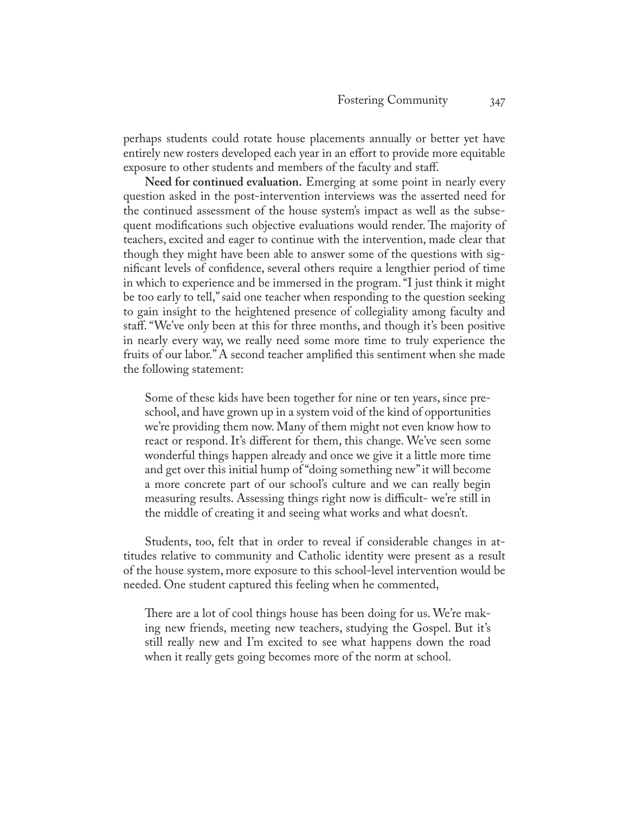perhaps students could rotate house placements annually or better yet have entirely new rosters developed each year in an effort to provide more equitable exposure to other students and members of the faculty and staff.

**Need for continued evaluation.** Emerging at some point in nearly every question asked in the post-intervention interviews was the asserted need for the continued assessment of the house system's impact as well as the subsequent modifications such objective evaluations would render. The majority of teachers, excited and eager to continue with the intervention, made clear that though they might have been able to answer some of the questions with significant levels of confidence, several others require a lengthier period of time in which to experience and be immersed in the program. "I just think it might be too early to tell," said one teacher when responding to the question seeking to gain insight to the heightened presence of collegiality among faculty and staff. "We've only been at this for three months, and though it's been positive in nearly every way, we really need some more time to truly experience the fruits of our labor." A second teacher amplified this sentiment when she made the following statement:

Some of these kids have been together for nine or ten years, since preschool, and have grown up in a system void of the kind of opportunities we're providing them now. Many of them might not even know how to react or respond. It's different for them, this change. We've seen some wonderful things happen already and once we give it a little more time and get over this initial hump of "doing something new" it will become a more concrete part of our school's culture and we can really begin measuring results. Assessing things right now is difficult- we're still in the middle of creating it and seeing what works and what doesn't.

Students, too, felt that in order to reveal if considerable changes in attitudes relative to community and Catholic identity were present as a result of the house system, more exposure to this school-level intervention would be needed. One student captured this feeling when he commented,

There are a lot of cool things house has been doing for us. We're making new friends, meeting new teachers, studying the Gospel. But it's still really new and I'm excited to see what happens down the road when it really gets going becomes more of the norm at school.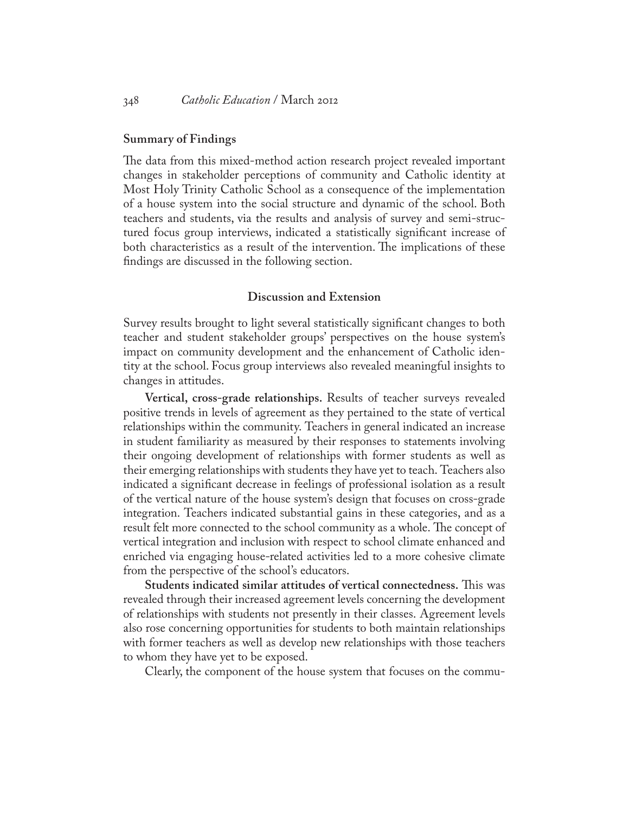# **Summary of Findings**

The data from this mixed-method action research project revealed important changes in stakeholder perceptions of community and Catholic identity at Most Holy Trinity Catholic School as a consequence of the implementation of a house system into the social structure and dynamic of the school. Both teachers and students, via the results and analysis of survey and semi-structured focus group interviews, indicated a statistically significant increase of both characteristics as a result of the intervention. The implications of these findings are discussed in the following section.

# **Discussion and Extension**

Survey results brought to light several statistically significant changes to both teacher and student stakeholder groups' perspectives on the house system's impact on community development and the enhancement of Catholic identity at the school. Focus group interviews also revealed meaningful insights to changes in attitudes.

**Vertical, cross-grade relationships.** Results of teacher surveys revealed positive trends in levels of agreement as they pertained to the state of vertical relationships within the community. Teachers in general indicated an increase in student familiarity as measured by their responses to statements involving their ongoing development of relationships with former students as well as their emerging relationships with students they have yet to teach. Teachers also indicated a significant decrease in feelings of professional isolation as a result of the vertical nature of the house system's design that focuses on cross-grade integration. Teachers indicated substantial gains in these categories, and as a result felt more connected to the school community as a whole. The concept of vertical integration and inclusion with respect to school climate enhanced and enriched via engaging house-related activities led to a more cohesive climate from the perspective of the school's educators.

**Students indicated similar attitudes of vertical connectedness.** This was revealed through their increased agreement levels concerning the development of relationships with students not presently in their classes. Agreement levels also rose concerning opportunities for students to both maintain relationships with former teachers as well as develop new relationships with those teachers to whom they have yet to be exposed.

Clearly, the component of the house system that focuses on the commu-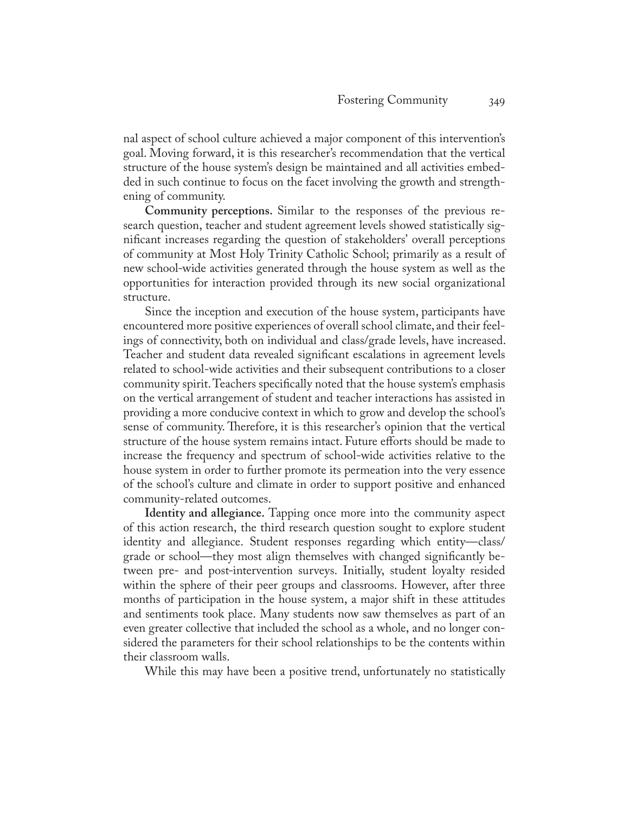nal aspect of school culture achieved a major component of this intervention's goal. Moving forward, it is this researcher's recommendation that the vertical structure of the house system's design be maintained and all activities embedded in such continue to focus on the facet involving the growth and strengthening of community.

**Community perceptions.** Similar to the responses of the previous research question, teacher and student agreement levels showed statistically significant increases regarding the question of stakeholders' overall perceptions of community at Most Holy Trinity Catholic School; primarily as a result of new school-wide activities generated through the house system as well as the opportunities for interaction provided through its new social organizational structure.

Since the inception and execution of the house system, participants have encountered more positive experiences of overall school climate, and their feelings of connectivity, both on individual and class/grade levels, have increased. Teacher and student data revealed significant escalations in agreement levels related to school-wide activities and their subsequent contributions to a closer community spirit. Teachers specifically noted that the house system's emphasis on the vertical arrangement of student and teacher interactions has assisted in providing a more conducive context in which to grow and develop the school's sense of community. Therefore, it is this researcher's opinion that the vertical structure of the house system remains intact. Future efforts should be made to increase the frequency and spectrum of school-wide activities relative to the house system in order to further promote its permeation into the very essence of the school's culture and climate in order to support positive and enhanced community-related outcomes.

**Identity and allegiance.** Tapping once more into the community aspect of this action research, the third research question sought to explore student identity and allegiance. Student responses regarding which entity—class/ grade or school—they most align themselves with changed significantly between pre- and post-intervention surveys. Initially, student loyalty resided within the sphere of their peer groups and classrooms. However, after three months of participation in the house system, a major shift in these attitudes and sentiments took place. Many students now saw themselves as part of an even greater collective that included the school as a whole, and no longer considered the parameters for their school relationships to be the contents within their classroom walls.

While this may have been a positive trend, unfortunately no statistically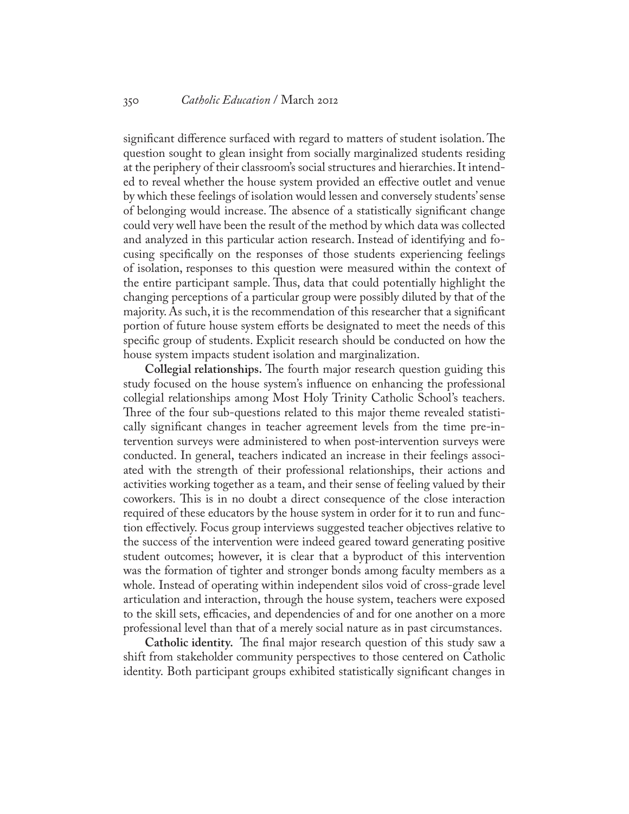significant difference surfaced with regard to matters of student isolation. The question sought to glean insight from socially marginalized students residing at the periphery of their classroom's social structures and hierarchies. It intended to reveal whether the house system provided an effective outlet and venue by which these feelings of isolation would lessen and conversely students' sense of belonging would increase. The absence of a statistically significant change could very well have been the result of the method by which data was collected and analyzed in this particular action research. Instead of identifying and focusing specifically on the responses of those students experiencing feelings of isolation, responses to this question were measured within the context of the entire participant sample. Thus, data that could potentially highlight the changing perceptions of a particular group were possibly diluted by that of the majority. As such, it is the recommendation of this researcher that a significant portion of future house system efforts be designated to meet the needs of this specific group of students. Explicit research should be conducted on how the house system impacts student isolation and marginalization.

**Collegial relationships.** The fourth major research question guiding this study focused on the house system's influence on enhancing the professional collegial relationships among Most Holy Trinity Catholic School's teachers. Three of the four sub-questions related to this major theme revealed statistically significant changes in teacher agreement levels from the time pre-intervention surveys were administered to when post-intervention surveys were conducted. In general, teachers indicated an increase in their feelings associated with the strength of their professional relationships, their actions and activities working together as a team, and their sense of feeling valued by their coworkers. This is in no doubt a direct consequence of the close interaction required of these educators by the house system in order for it to run and function effectively. Focus group interviews suggested teacher objectives relative to the success of the intervention were indeed geared toward generating positive student outcomes; however, it is clear that a byproduct of this intervention was the formation of tighter and stronger bonds among faculty members as a whole. Instead of operating within independent silos void of cross-grade level articulation and interaction, through the house system, teachers were exposed to the skill sets, efficacies, and dependencies of and for one another on a more professional level than that of a merely social nature as in past circumstances.

**Catholic identity.** The final major research question of this study saw a shift from stakeholder community perspectives to those centered on Catholic identity. Both participant groups exhibited statistically significant changes in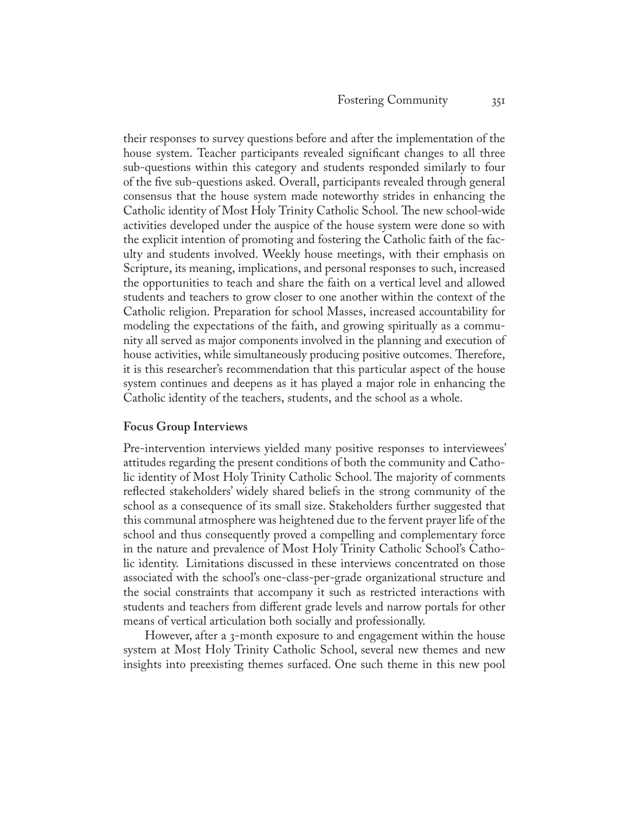their responses to survey questions before and after the implementation of the house system. Teacher participants revealed significant changes to all three sub-questions within this category and students responded similarly to four of the five sub-questions asked. Overall, participants revealed through general consensus that the house system made noteworthy strides in enhancing the Catholic identity of Most Holy Trinity Catholic School. The new school-wide activities developed under the auspice of the house system were done so with the explicit intention of promoting and fostering the Catholic faith of the faculty and students involved. Weekly house meetings, with their emphasis on Scripture, its meaning, implications, and personal responses to such, increased the opportunities to teach and share the faith on a vertical level and allowed students and teachers to grow closer to one another within the context of the Catholic religion. Preparation for school Masses, increased accountability for modeling the expectations of the faith, and growing spiritually as a community all served as major components involved in the planning and execution of house activities, while simultaneously producing positive outcomes. Therefore, it is this researcher's recommendation that this particular aspect of the house system continues and deepens as it has played a major role in enhancing the Catholic identity of the teachers, students, and the school as a whole.

# **Focus Group Interviews**

Pre-intervention interviews yielded many positive responses to interviewees' attitudes regarding the present conditions of both the community and Catholic identity of Most Holy Trinity Catholic School. The majority of comments reflected stakeholders' widely shared beliefs in the strong community of the school as a consequence of its small size. Stakeholders further suggested that this communal atmosphere was heightened due to the fervent prayer life of the school and thus consequently proved a compelling and complementary force in the nature and prevalence of Most Holy Trinity Catholic School's Catholic identity. Limitations discussed in these interviews concentrated on those associated with the school's one-class-per-grade organizational structure and the social constraints that accompany it such as restricted interactions with students and teachers from different grade levels and narrow portals for other means of vertical articulation both socially and professionally.

However, after a 3-month exposure to and engagement within the house system at Most Holy Trinity Catholic School, several new themes and new insights into preexisting themes surfaced. One such theme in this new pool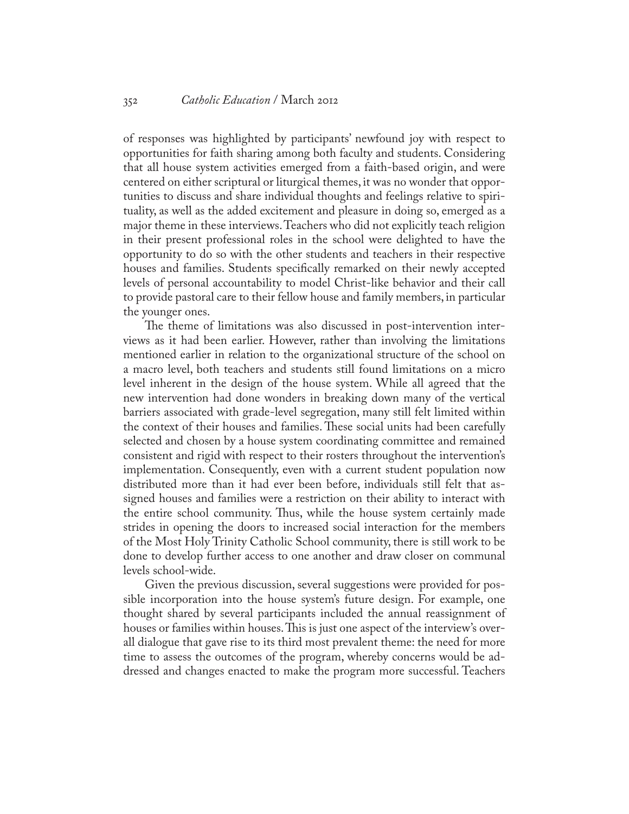of responses was highlighted by participants' newfound joy with respect to opportunities for faith sharing among both faculty and students. Considering that all house system activities emerged from a faith-based origin, and were centered on either scriptural or liturgical themes, it was no wonder that opportunities to discuss and share individual thoughts and feelings relative to spirituality, as well as the added excitement and pleasure in doing so, emerged as a major theme in these interviews. Teachers who did not explicitly teach religion in their present professional roles in the school were delighted to have the opportunity to do so with the other students and teachers in their respective houses and families. Students specifically remarked on their newly accepted levels of personal accountability to model Christ-like behavior and their call to provide pastoral care to their fellow house and family members, in particular the younger ones.

The theme of limitations was also discussed in post-intervention interviews as it had been earlier. However, rather than involving the limitations mentioned earlier in relation to the organizational structure of the school on a macro level, both teachers and students still found limitations on a micro level inherent in the design of the house system. While all agreed that the new intervention had done wonders in breaking down many of the vertical barriers associated with grade-level segregation, many still felt limited within the context of their houses and families. These social units had been carefully selected and chosen by a house system coordinating committee and remained consistent and rigid with respect to their rosters throughout the intervention's implementation. Consequently, even with a current student population now distributed more than it had ever been before, individuals still felt that assigned houses and families were a restriction on their ability to interact with the entire school community. Thus, while the house system certainly made strides in opening the doors to increased social interaction for the members of the Most Holy Trinity Catholic School community, there is still work to be done to develop further access to one another and draw closer on communal levels school-wide.

Given the previous discussion, several suggestions were provided for possible incorporation into the house system's future design. For example, one thought shared by several participants included the annual reassignment of houses or families within houses. This is just one aspect of the interview's overall dialogue that gave rise to its third most prevalent theme: the need for more time to assess the outcomes of the program, whereby concerns would be addressed and changes enacted to make the program more successful. Teachers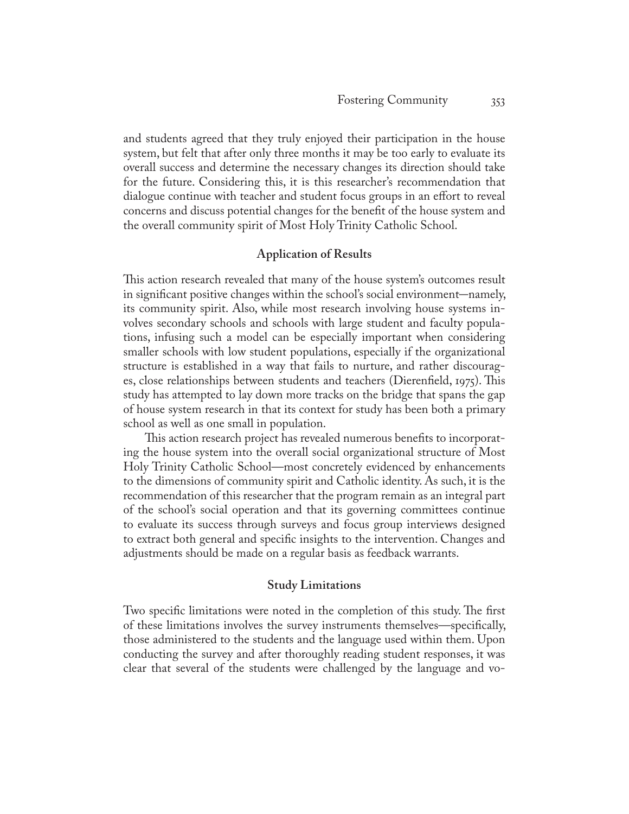and students agreed that they truly enjoyed their participation in the house system, but felt that after only three months it may be too early to evaluate its overall success and determine the necessary changes its direction should take for the future. Considering this, it is this researcher's recommendation that dialogue continue with teacher and student focus groups in an effort to reveal concerns and discuss potential changes for the benefit of the house system and the overall community spirit of Most Holy Trinity Catholic School.

# **Application of Results**

This action research revealed that many of the house system's outcomes result in significant positive changes within the school's social environment—namely, its community spirit. Also, while most research involving house systems involves secondary schools and schools with large student and faculty populations, infusing such a model can be especially important when considering smaller schools with low student populations, especially if the organizational structure is established in a way that fails to nurture, and rather discourages, close relationships between students and teachers (Dierenfield, 1975). This study has attempted to lay down more tracks on the bridge that spans the gap of house system research in that its context for study has been both a primary school as well as one small in population.

This action research project has revealed numerous benefits to incorporating the house system into the overall social organizational structure of Most Holy Trinity Catholic School—most concretely evidenced by enhancements to the dimensions of community spirit and Catholic identity. As such, it is the recommendation of this researcher that the program remain as an integral part of the school's social operation and that its governing committees continue to evaluate its success through surveys and focus group interviews designed to extract both general and specific insights to the intervention. Changes and adjustments should be made on a regular basis as feedback warrants.

# **Study Limitations**

Two specific limitations were noted in the completion of this study. The first of these limitations involves the survey instruments themselves—specifically, those administered to the students and the language used within them. Upon conducting the survey and after thoroughly reading student responses, it was clear that several of the students were challenged by the language and vo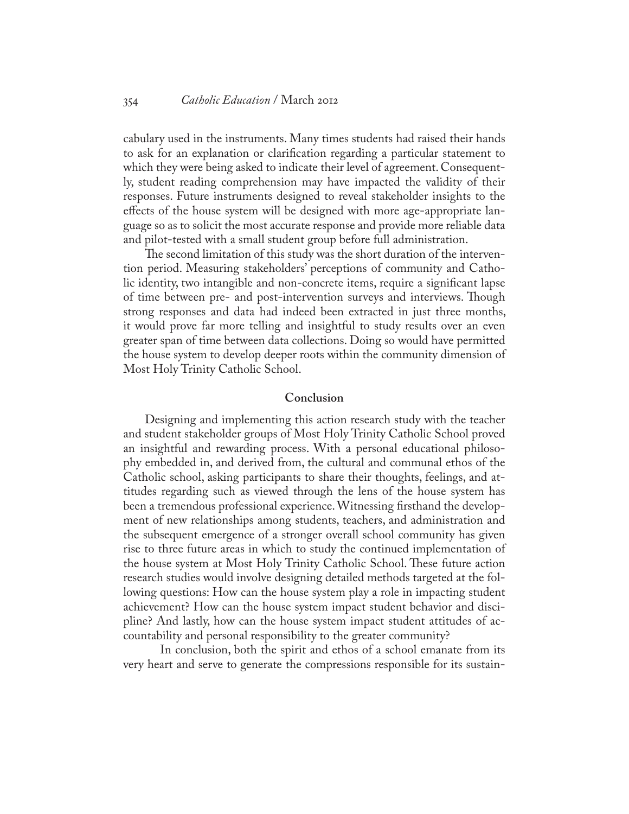cabulary used in the instruments. Many times students had raised their hands to ask for an explanation or clarification regarding a particular statement to which they were being asked to indicate their level of agreement. Consequently, student reading comprehension may have impacted the validity of their responses. Future instruments designed to reveal stakeholder insights to the effects of the house system will be designed with more age-appropriate language so as to solicit the most accurate response and provide more reliable data and pilot-tested with a small student group before full administration.

The second limitation of this study was the short duration of the intervention period. Measuring stakeholders' perceptions of community and Catholic identity, two intangible and non-concrete items, require a significant lapse of time between pre- and post-intervention surveys and interviews. Though strong responses and data had indeed been extracted in just three months, it would prove far more telling and insightful to study results over an even greater span of time between data collections. Doing so would have permitted the house system to develop deeper roots within the community dimension of Most Holy Trinity Catholic School.

## **Conclusion**

Designing and implementing this action research study with the teacher and student stakeholder groups of Most Holy Trinity Catholic School proved an insightful and rewarding process. With a personal educational philosophy embedded in, and derived from, the cultural and communal ethos of the Catholic school, asking participants to share their thoughts, feelings, and attitudes regarding such as viewed through the lens of the house system has been a tremendous professional experience. Witnessing firsthand the development of new relationships among students, teachers, and administration and the subsequent emergence of a stronger overall school community has given rise to three future areas in which to study the continued implementation of the house system at Most Holy Trinity Catholic School. These future action research studies would involve designing detailed methods targeted at the following questions: How can the house system play a role in impacting student achievement? How can the house system impact student behavior and discipline? And lastly, how can the house system impact student attitudes of accountability and personal responsibility to the greater community?

In conclusion, both the spirit and ethos of a school emanate from its very heart and serve to generate the compressions responsible for its sustain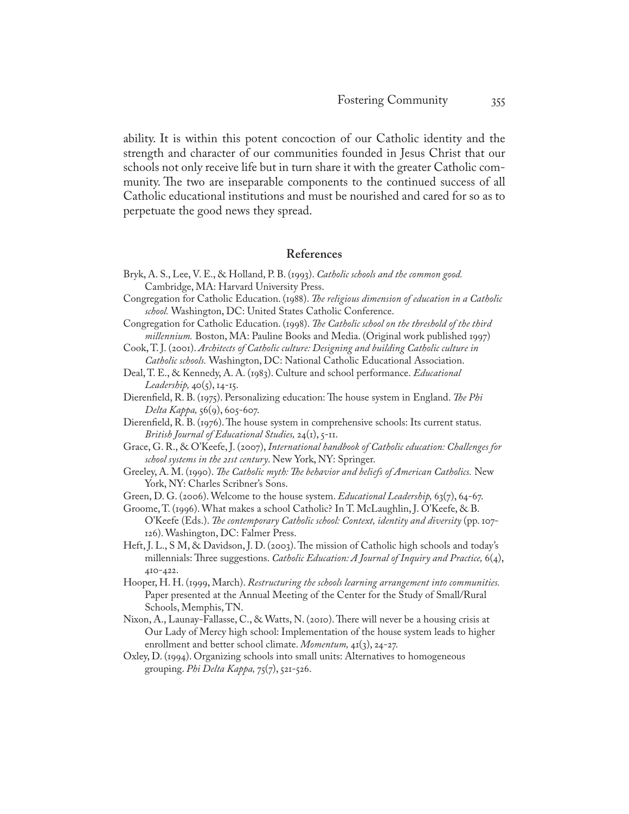ability. It is within this potent concoction of our Catholic identity and the strength and character of our communities founded in Jesus Christ that our schools not only receive life but in turn share it with the greater Catholic community. The two are inseparable components to the continued success of all Catholic educational institutions and must be nourished and cared for so as to perpetuate the good news they spread.

# **References**

- Bryk, A. S., Lee, V. E., & Holland, P. B. (1993). *Catholic schools and the common good.* Cambridge, MA: Harvard University Press.
- Congregation for Catholic Education. (1988). *The religious dimension of education in a Catholic school.* Washington, DC: United States Catholic Conference.
- Congregation for Catholic Education. (1998). *The Catholic school on the threshold of the third millennium.* Boston, MA: Pauline Books and Media. (Original work published 1997)
- Cook, T. J. (2001). *Architects of Catholic culture: Designing and building Catholic culture in Catholic schools.* Washington, DC: National Catholic Educational Association.
- Deal, T. E., & Kennedy, A. A. (1983). Culture and school performance. *Educational Leadership,* 40(5), 14-15.
- Dierenfield, R. B. (1975). Personalizing education: The house system in England. *The Phi Delta Kappa,* 56(9), 605-607.
- Dierenfield, R. B. (1976). The house system in comprehensive schools: Its current status. *British Journal of Educational Studies,* 24(1), 5-11.
- Grace, G. R., & O'Keefe, J. (2007), *International handbook of Catholic education: Challenges for school systems in the 21st century*. New York, NY: Springer.
- Greeley, A. M. (1990). *The Catholic myth: The behavior and beliefs of American Catholics.* New York, NY: Charles Scribner's Sons.

Green, D. G. (2006). Welcome to the house system. *Educational Leadership,* 63(7), 64-67.

- Groome, T. (1996). What makes a school Catholic? In T. McLaughlin, J. O'Keefe, & B. O'Keefe (Eds.). *The contemporary Catholic school: Context, identity and diversity* (pp. 107- 126). Washington, DC: Falmer Press.
- Heft, J. L., S M, & Davidson, J. D. (2003). The mission of Catholic high schools and today's millennials: Three suggestions. *Catholic Education: A Journal of Inquiry and Practice,* 6(4), 410-422.
- Hooper, H. H. (1999, March). *Restructuring the schools learning arrangement into communities.*  Paper presented at the Annual Meeting of the Center for the Study of Small/Rural Schools, Memphis, TN.
- Nixon, A., Launay-Fallasse, C., & Watts, N. (2010). There will never be a housing crisis at Our Lady of Mercy high school: Implementation of the house system leads to higher enrollment and better school climate. *Momentum,* 41(3), 24-27.
- Oxley, D. (1994). Organizing schools into small units: Alternatives to homogeneous grouping. *Phi Delta Kappa,* 75(7), 521-526.